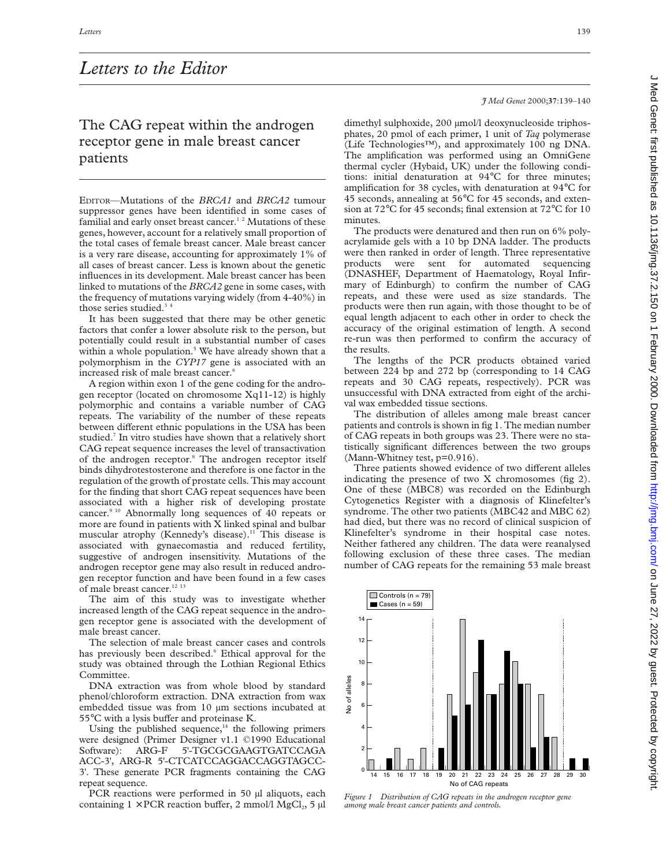# The CAG repeat within the androgen receptor gene in male breast cancer patients

EDITOR—Mutations of the *BRCA1* and *BRCA2* tumour suppressor genes have been identified in some cases of familial and early onset breast cancer.<sup>12</sup> Mutations of these genes, however, account for a relatively small proportion of the total cases of female breast cancer. Male breast cancer is a very rare disease, accounting for approximately 1% of all cases of breast cancer. Less is known about the genetic influences in its development. Male breast cancer has been linked to mutations of the *BRCA2* gene in some cases, with the frequency of mutations varying widely (from 4-40%) in those series studied. $34$ 

It has been suggested that there may be other genetic factors that confer a lower absolute risk to the person, but potentially could result in a substantial number of cases within a whole population.<sup>5</sup> We have already shown that a polymorphism in the *CYP17* gene is associated with an increased risk of male breast cancer.<sup>6</sup>

A region within exon 1 of the gene coding for the androgen receptor (located on chromosome Xq11-12) is highly polymorphic and contains a variable number of CAG repeats. The variability of the number of these repeats between different ethnic populations in the USA has been studied.7 In vitro studies have shown that a relatively short CAG repeat sequence increases the level of transactivation of the androgen receptor.8 The androgen receptor itself binds dihydrotestosterone and therefore is one factor in the regulation of the growth of prostate cells. This may account for the finding that short CAG repeat sequences have been associated with a higher risk of developing prostate cancer.9 10 Abnormally long sequences of 40 repeats or more are found in patients with X linked spinal and bulbar muscular atrophy (Kennedy's disease).<sup>11</sup> This disease is associated with gynaecomastia and reduced fertility, suggestive of androgen insensitivity. Mutations of the androgen receptor gene may also result in reduced androgen receptor function and have been found in a few cases of male breast cancer.<sup>12 13</sup>

The aim of this study was to investigate whether increased length of the CAG repeat sequence in the androgen receptor gene is associated with the development of male breast cancer.

The selection of male breast cancer cases and controls has previously been described.<sup>6</sup> Ethical approval for the study was obtained through the Lothian Regional Ethics Committee.

DNA extraction was from whole blood by standard phenol/chloroform extraction. DNA extraction from wax embedded tissue was from 10  $\mu$ m sections incubated at  $55^{\circ}$ C with a lysis buffer and proteinase K.

Using the published sequence, $14$  the following primers were designed (Primer Designer v1.1 ©1990 Educational Software): ARG-F 5'-TGCGCGAAGTGATCCAGA ACC-3', ARG-R 5'-CTCATCCAGGACCAGGTAGCC-3'. These generate PCR fragments containing the CAG repeat sequence.

PCR reactions were performed in 50 µl aliquots, each containing  $1 \times PCR$  reaction buffer, 2 mmol/l MgCl<sub>2</sub>, 5 µl *J Med Genet* 2000;**37**:139–140

dimethyl sulphoxide, 200 µmol/l deoxynucleoside triphosphates, 20 pmol of each primer, 1 unit of *Taq* polymerase (Life Technologies™), and approximately 100 ng DNA. The amplification was performed using an OmniGene thermal cycler (Hybaid, UK) under the following conditions: initial denaturation at 94°C for three minutes; amplification for 38 cycles, with denaturation at 94°C for 45 seconds, annealing at 56°C for 45 seconds, and extension at 72°C for 45 seconds; final extension at 72°C for 10 minutes.

The products were denatured and then run on 6% polyacrylamide gels with a 10 bp DNA ladder. The products were then ranked in order of length. Three representative products were sent for automated sequencing (DNASHEF, Department of Haematology, Royal Infirmary of Edinburgh) to confirm the number of CAG repeats, and these were used as size standards. The products were then run again, with those thought to be of equal length adjacent to each other in order to check the accuracy of the original estimation of length. A second re-run was then performed to confirm the accuracy of the results.

The lengths of the PCR products obtained varied between 224 bp and 272 bp (corresponding to 14 CAG repeats and 30 CAG repeats, respectively). PCR was unsuccessful with DNA extracted from eight of the archival wax embedded tissue sections.

The distribution of alleles among male breast cancer patients and controls is shown in fig 1. The median number of CAG repeats in both groups was 23. There were no statistically significant differences between the two groups (Mann-Whitney test, p=0.916).

Three patients showed evidence of two different alleles indicating the presence of two X chromosomes (fig 2). One of these (MBC8) was recorded on the Edinburgh Cytogenetics Register with a diagnosis of Klinefelter's syndrome. The other two patients (MBC42 and MBC 62) had died, but there was no record of clinical suspicion of Klinefelter's syndrome in their hospital case notes. Neither fathered any children. The data were reanalysed following exclusion of these three cases. The median number of CAG repeats for the remaining 53 male breast

 $\Box$  Controls (n = 79) Cases ( $n = 59$ ) 14 12 10 No of alleles No of alleles 8 6 4 2 0 14 15 16 17 18 19 20 21 22 23 24 25 26 27 28 29 30 No of CAG repeats

*Figure 1 Distribution of CAG repeats in the androgen receptor gene among male breast cancer patients and controls.*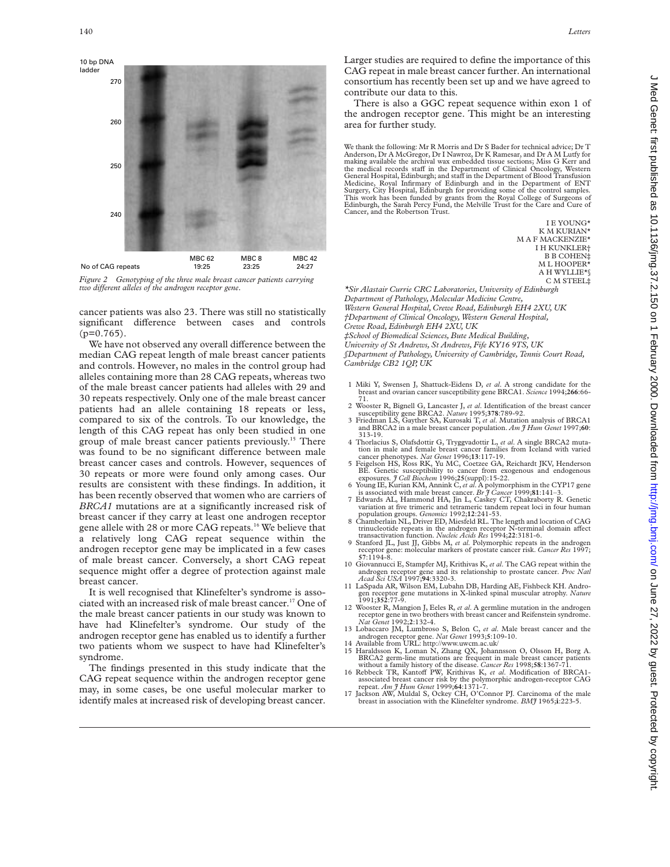

*Figure 2 Genotyping of the three male breast cancer patients carrying two diVerent alleles of the androgen receptor gene.*

cancer patients was also 23. There was still no statistically significant difference between cases and controls  $(p=0.765)$ .

We have not observed any overall difference between the median CAG repeat length of male breast cancer patients and controls. However, no males in the control group had alleles containing more than 28 CAG repeats, whereas two of the male breast cancer patients had alleles with 29 and 30 repeats respectively. Only one of the male breast cancer patients had an allele containing 18 repeats or less, compared to six of the controls. To our knowledge, the length of this CAG repeat has only been studied in one group of male breast cancer patients previously.<sup>15</sup> There was found to be no significant difference between male breast cancer cases and controls. However, sequences of 30 repeats or more were found only among cases. Our results are consistent with these findings. In addition, it has been recently observed that women who are carriers of *BRCA1* mutations are at a significantly increased risk of breast cancer if they carry at least one androgen receptor gene allele with 28 or more CAG repeats.<sup>16</sup> We believe that a relatively long CAG repeat sequence within the androgen receptor gene may be implicated in a few cases of male breast cancer. Conversely, a short CAG repeat sequence might offer a degree of protection against male breast cancer.

It is well recognised that Klinefelter's syndrome is associated with an increased risk of male breast cancer.<sup>17</sup> One of the male breast cancer patients in our study was known to have had Klinefelter's syndrome. Our study of the androgen receptor gene has enabled us to identify a further two patients whom we suspect to have had Klinefelter's syndrome.

The findings presented in this study indicate that the CAG repeat sequence within the androgen receptor gene may, in some cases, be one useful molecular marker to identify males at increased risk of developing breast cancer.

Larger studies are required to define the importance of this CAG repeat in male breast cancer further. An international consortium has recently been set up and we have agreed to contribute our data to this.

There is also a GGC repeat sequence within exon 1 of the androgen receptor gene. This might be an interesting area for further study.

We thank the following: Mr R Morris and Dr S Bader for technical advice; Dr T Anderson, Dr A McGregor, Dr I Nawroz, Dr K Ramesar, and Dr A M Lutfy for making available the archival wax embedded tissue sections; Miss G Kerr and the medical records staff in the Department of Clinical Oncology, Western<br>General Hospital, Edinburgh; and staff in the Department of Blood Transfusion Medicine, Royal Infirmary of Edinburgh and in the Department of ENT Surgery, City Hospital, Edinburgh for providing some of the control samples. This work has been funded by grants from the Royal College of Surgeons of Edinburgh, the Sarah Percy Fund, the Melville Trust for the Care and Cure of Cancer, and the Robertson Trust.

> I E YOUNG\* K M KURIAN\* M A F MACKENZIE\* I H KUNKLER† B B COHEN‡ M L HOOPER\* A H WYLLIE\*§ C M STEEL‡

*\*Sir Alastair Currie CRC Laboratories, University of Edinburgh Department of Pathology, Molecular Medicine Centre, Western General Hospital, Crewe Road, Edinburgh EH4 2XU, UK †Department of Clinical Oncology, Western General Hospital, Crewe Road, Edinburgh EH4 2XU, UK ‡School of Biomedical Sciences, Bute Medical Building,*

*University of St Andrews, St Andrews, Fife KY16 9TS, UK §Department of Pathology, University of Cambridge, Tennis Court Road, Cambridge CB2 1QP, UK*

- 1 Miki Y, Swensen J, Shattuck-Eidens D, *et al*. A strong candidate for the breast and ovarian cancer susceptibility gene BRCA1. *Science* 1994;**266**:66-
- 71.<br>2 Wooster R, Bignell G, Lancaster J, *et al.* Identification of the breast cancer<br>susceptibility gene BRCA2. *Nature* 1995;378:789-92.<br>3 Friedman LS, Gayther SA, Kurosaki T, *et al.* Mutation analysis of BRCA1
- and BRCA2 in a male breast cancer population. *Am J Hum Genet* 1997;**60**: 313-19.
- 4 Thorlacius S, Olafsdottir G, Tryggvadottir L, *et al*. A single BRCA2 mutation in male and female breast cancer families from Iceland with varied cancer phenotypes. *Nat Genet* 1996;**13**:117-19.
- 5 Feigelson HS, Ross RK, Yu MC, Coetzee GA, Reichardt JKV, Henderson<br>BE. Genetic susceptibility to cancer from exogenous and endogenous<br>exposures. *J* Cell Biochem 1996;25(suppl):15-22.<br>6 Young IE, Kurian KM, Annink C, et
- is associated with male breast cancer. *Br J Cancer* 1999;**81**:141–3. 7 Edwards AL, Hammond HA, Jin L, Caskey CT, Chakraborty R. Genetic
- variation at five trimeric and tetrameric tandem repeat loci in four human population groups. *Genomics* 1992;**12**:241-53.
- 8 Chamberlain NL, Driver ED, Miesfeld RL. The length and location of CAG trinucleotide repeats in the androgen receptor N-terminal domain aVect transactivation function. *Nucleic Acids Res* 1994;**22**:3181-6.
- 9 Stanford JL, Just JJ, Gibbs M, *et al*. Polymorphic repeats in the androgen receptor gene: molecular markers of prostate cancer risk. *Cancer Res* 1997; **57**:1194-8.
- 10 Giovannucci E, Stampfer MJ, Krithivas K, *et al*. The CAG repeat within the androgen receptor gene and its relationship to prostate cancer. *Proc Natl*<br>*Acad Sci USA* 1997;94:3320-3.
- *Acad Sci USA* 1997;**94**:3320-3. 11 LaSpada AR, Wilson EM, Lubahn DB, Harding AE, Fishbeck KH. Andro-gen receptor gene mutations in X-linked spinal muscular atrophy. *Nature* 1991;**352**:77-9.
- 12 Wooster R, Mangion J, Eeles R, *et al*. A germline mutation in the androgen receptor gene in two brothers with breast cancer and Reifenstein syndrome.<br>Nat Genet 1992;2:132-4.
- *Nat Genet* 1992;**2**:132-4. 13 Lobaccaro JM, Lumbroso S, Belon C, *et al*. Male breast cancer and the
- androgen receptor gene. *Nat Genet* 1993;5:109-10.<br>14 Available from URL: http://www.uwcm.ac.uk/<br>15 Haraldsson K, Loman N, Zhang QX, Johannsson O, Olsson H, Borg A.<br>BRCA2 germ-line mutations are frequent in male breast can
- 16 Rebbeck TR, Kantoff PW, Krithivas K, et al. Modification of BRCA1associated breast cancer risk by the polymorphic androgen-receptor CAG repeat. *Am J Hum Genet* 1999;**64**:1371-7.
- 17 Jackson AW, Muldal S, Ockey CH, O'Connor PJ. Carcinoma of the male breast in association with the Klinefelter syndrome. *BMJ* 1965;**i**:223-5.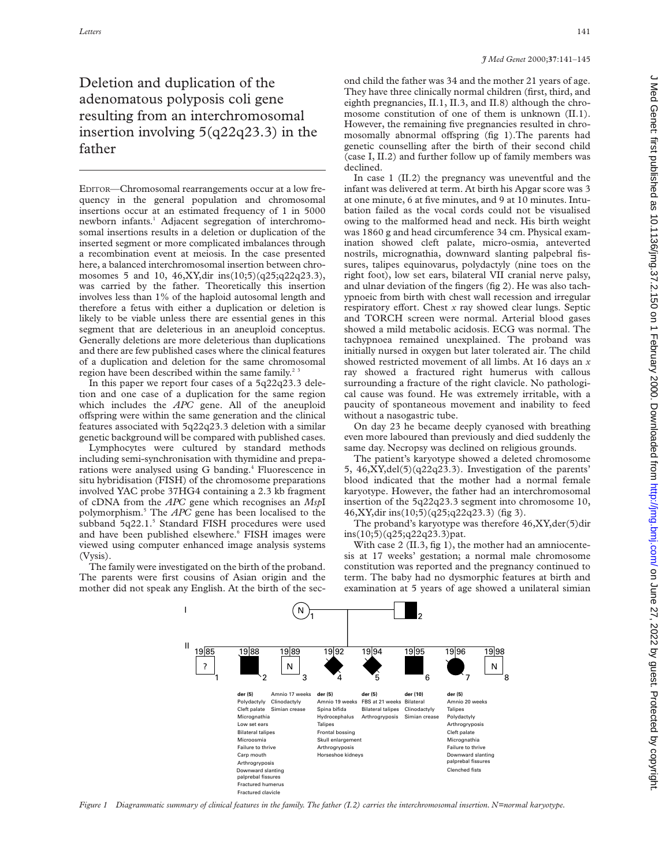# Deletion and duplication of the adenomatous polyposis coli gene resulting from an interchromosomal insertion involving 5(q22q23.3) in the father

EDITOR—Chromosomal rearrangements occur at a low frequency in the general population and chromosomal insertions occur at an estimated frequency of 1 in 5000 newborn infants.<sup>1</sup> Adjacent segregation of interchromosomal insertions results in a deletion or duplication of the inserted segment or more complicated imbalances through a recombination event at meiosis. In the case presented here, a balanced interchromosomal insertion between chromosomes 5 and 10, 46,XY,dir ins(10;5)(q25;q22q23.3), was carried by the father. Theoretically this insertion involves less than 1% of the haploid autosomal length and therefore a fetus with either a duplication or deletion is likely to be viable unless there are essential genes in this segment that are deleterious in an aneuploid conceptus. Generally deletions are more deleterious than duplications and there are few published cases where the clinical features of a duplication and deletion for the same chromosomal region have been described within the same family.<sup>2 3</sup>

In this paper we report four cases of a 5q22q23.3 deletion and one case of a duplication for the same region which includes the *APC* gene. All of the aneuploid offspring were within the same generation and the clinical features associated with 5q22q23.3 deletion with a similar genetic background will be compared with published cases.

Lymphocytes were cultured by standard methods including semi-synchronisation with thymidine and preparations were analysed using G banding.<sup>4</sup> Fluorescence in situ hybridisation (FISH) of the chromosome preparations involved YAC probe 37HG4 containing a 2.3 kb fragment of cDNA from the *APC* gene which recognises an *Msp*I polymorphism.5 The *APC* gene has been localised to the subband 5q22.1.<sup>5</sup> Standard FISH procedures were used and have been published elsewhere.<sup>6</sup> FISH images were viewed using computer enhanced image analysis systems (Vysis).

The family were investigated on the birth of the proband. The parents were first cousins of Asian origin and the mother did not speak any English. At the birth of the sec-

### *J Med Genet* 2000;**37**:141–145

ond child the father was 34 and the mother 21 years of age. They have three clinically normal children (first, third, and eighth pregnancies, II.1, II.3, and II.8) although the chromosome constitution of one of them is unknown (II.1). However, the remaining five pregnancies resulted in chromosomally abnormal offspring (fig 1). The parents had genetic counselling after the birth of their second child (case I, II.2) and further follow up of family members was declined.

In case 1 (II.2) the pregnancy was uneventful and the infant was delivered at term. At birth his Apgar score was 3 at one minute, 6 at five minutes, and 9 at 10 minutes. Intubation failed as the vocal cords could not be visualised owing to the malformed head and neck. His birth weight was 1860 g and head circumference 34 cm. Physical examination showed cleft palate, micro-osmia, anteverted nostrils, micrognathia, downward slanting palpebral fissures, talipes equinovarus, polydactyly (nine toes on the right foot), low set ears, bilateral VII cranial nerve palsy, and ulnar deviation of the fingers (fig 2). He was also tachypnoeic from birth with chest wall recession and irregular respiratory effort. Chest *x* ray showed clear lungs. Septic and TORCH screen were normal. Arterial blood gases showed a mild metabolic acidosis. ECG was normal. The tachypnoea remained unexplained. The proband was initially nursed in oxygen but later tolerated air. The child showed restricted movement of all limbs. At 16 days an *x* ray showed a fractured right humerus with callous surrounding a fracture of the right clavicle. No pathological cause was found. He was extremely irritable, with a paucity of spontaneous movement and inability to feed without a nasogastric tube.

On day 23 he became deeply cyanosed with breathing even more laboured than previously and died suddenly the same day. Necropsy was declined on religious grounds.

The patient's karyotype showed a deleted chromosome 5, 46,XY,del(5)(q22q23.3). Investigation of the parents' blood indicated that the mother had a normal female karyotype. However, the father had an interchromosomal insertion of the 5q22q23.3 segment into chromosome 10, 46,XY,dir ins(10;5)(q25;q22q23.3) (fig 3).

The proband's karyotype was therefore 46,XY,der(5)dir ins(10;5)(q25;q22q23.3)pat.

With case 2 (II.3, fig 1), the mother had an amniocentesis at 17 weeks' gestation; a normal male chromosome constitution was reported and the pregnancy continued to term. The baby had no dysmorphic features at birth and examination at 5 years of age showed a unilateral simian



*Figure 1 Diagrammatic summary of clinical features in the family. The father (I.2) carries the interchromosomal insertion. N=normal karyotype.*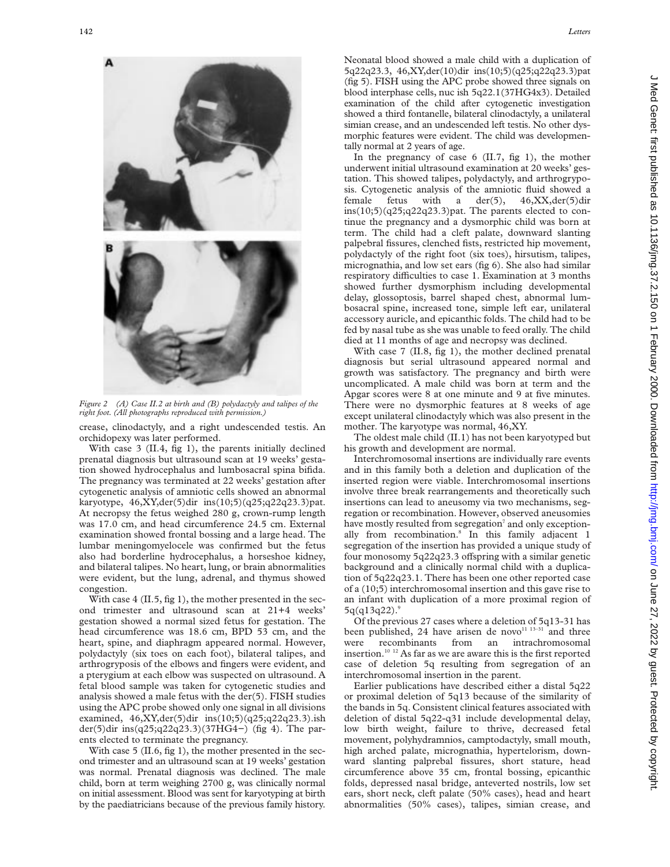

*Figure 2 (A) Case II.2 at birth and (B) polydactyly and talipes of the right foot. (All photographs reproduced with permission.)*

crease, clinodactyly, and a right undescended testis. An orchidopexy was later performed.

With case 3 (II.4, fig 1), the parents initially declined prenatal diagnosis but ultrasound scan at 19 weeks' gestation showed hydrocephalus and lumbosacral spina bifida. The pregnancy was terminated at 22 weeks' gestation after cytogenetic analysis of amniotic cells showed an abnormal karyotype, 46,XY,der(5)dir ins(10;5)(q25;q22q23.3)pat. At necropsy the fetus weighed 280 g, crown-rump length was 17.0 cm, and head circumference 24.5 cm. External examination showed frontal bossing and a large head. The lumbar meningomyelocele was confirmed but the fetus also had borderline hydrocephalus, a horseshoe kidney, and bilateral talipes. No heart, lung, or brain abnormalities were evident, but the lung, adrenal, and thymus showed congestion.

With case 4 (II.5, fig 1), the mother presented in the second trimester and ultrasound scan at 21+4 weeks' gestation showed a normal sized fetus for gestation. The head circumference was 18.6 cm, BPD 53 cm, and the heart, spine, and diaphragm appeared normal. However, polydactyly (six toes on each foot), bilateral talipes, and arthrogryposis of the elbows and fingers were evident, and a pterygium at each elbow was suspected on ultrasound. A fetal blood sample was taken for cytogenetic studies and analysis showed a male fetus with the der(5). FISH studies using the APC probe showed only one signal in all divisions examined,  $46, XY, der(5)dir$  ins $(10,5)(q25, q22q23.3)$ .ish der(5)dir ins(q25;q22q23.3)(37HG4−) (fig 4). The parents elected to terminate the pregnancy.

With case 5 (II.6, fig 1), the mother presented in the second trimester and an ultrasound scan at 19 weeks' gestation was normal. Prenatal diagnosis was declined. The male child, born at term weighing 2700 g, was clinically normal on initial assessment. Blood was sent for karyotyping at birth by the paediatricians because of the previous family history. Neonatal blood showed a male child with a duplication of 5q22q23.3, 46,XY,der(10)dir ins(10;5)(q25;q22q23.3)pat (fig 5). FISH using the APC probe showed three signals on blood interphase cells, nuc ish 5q22.1(37HG4x3). Detailed examination of the child after cytogenetic investigation showed a third fontanelle, bilateral clinodactyly, a unilateral simian crease, and an undescended left testis. No other dysmorphic features were evident. The child was developmentally normal at 2 years of age.

In the pregnancy of case 6 (II.7, fig 1), the mother underwent initial ultrasound examination at 20 weeks' gestation. This showed talipes, polydactyly, and arthrogryposis. Cytogenetic analysis of the amniotic fluid showed a female fetus with a der(5), 46,XX,der(5)dir ins(10;5)(q25;q22q23.3)pat. The parents elected to continue the pregnancy and a dysmorphic child was born at term. The child had a cleft palate, downward slanting palpebral fissures, clenched fists, restricted hip movement, polydactyly of the right foot (six toes), hirsutism, talipes, micrognathia, and low set ears (fig 6). She also had similar respiratory difficulties to case 1. Examination at 3 months showed further dysmorphism including developmental delay, glossoptosis, barrel shaped chest, abnormal lumbosacral spine, increased tone, simple left ear, unilateral accessory auricle, and epicanthic folds. The child had to be fed by nasal tube as she was unable to feed orally. The child died at 11 months of age and necropsy was declined.

With case 7 (II.8, fig 1), the mother declined prenatal diagnosis but serial ultrasound appeared normal and growth was satisfactory. The pregnancy and birth were uncomplicated. A male child was born at term and the Apgar scores were 8 at one minute and 9 at five minutes. There were no dysmorphic features at 8 weeks of age except unilateral clinodactyly which was also present in the mother. The karyotype was normal, 46,XY.

The oldest male child (II.1) has not been karyotyped but his growth and development are normal.

Interchromosomal insertions are individually rare events and in this family both a deletion and duplication of the inserted region were viable. Interchromosomal insertions involve three break rearrangements and theoretically such insertions can lead to aneusomy via two mechanisms, segregation or recombination. However, observed aneusomies have mostly resulted from segregation<sup>7</sup> and only exceptionally from recombination.8 In this family adjacent 1 segregation of the insertion has provided a unique study of four monosomy  $5q22q23.3$  offspring with a similar genetic background and a clinically normal child with a duplication of 5q22q23.1. There has been one other reported case of a (10;5) interchromosomal insertion and this gave rise to an infant with duplication of a more proximal region of 5q(q13q22).9

Of the previous 27 cases where a deletion of 5q13-31 has been published, 24 have arisen de novo<sup>11 13-31</sup> and three were recombinants from an intrachromosomal insertion.<sup>10 12</sup> As far as we are aware this is the first reported case of deletion 5q resulting from segregation of an interchromosomal insertion in the parent.

Earlier publications have described either a distal 5q22 or proximal deletion of 5q13 because of the similarity of the bands in 5q. Consistent clinical features associated with deletion of distal 5q22-q31 include developmental delay, low birth weight, failure to thrive, decreased fetal movement, polyhydramnios, camptodactyly, small mouth, high arched palate, micrognathia, hypertelorism, downward slanting palprebal fissures, short stature, head circumference above 35 cm, frontal bossing, epicanthic folds, depressed nasal bridge, anteverted nostrils, low set ears, short neck, cleft palate (50% cases), head and heart abnormalities (50% cases), talipes, simian crease, and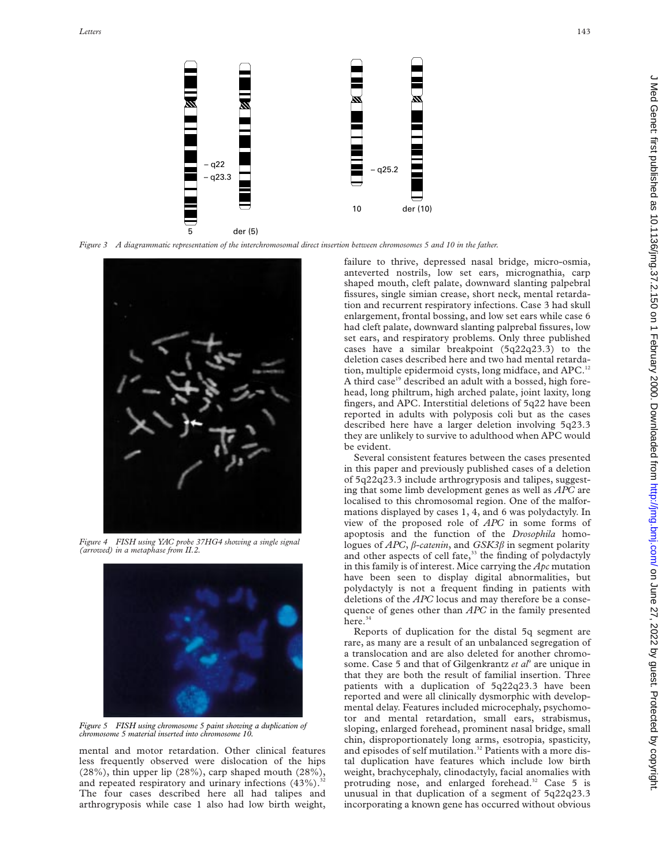

*Figure 3 A diagrammatic representation of the interchromosomal direct insertion between chromosomes 5 and 10 in the father.*



*Figure 4 FISH using YAC probe 37HG4 showing a single signal (arrowed) in a metaphase from II.2.*



*Figure 5 FISH using chromosome 5 paint showing a duplication of chromosome 5 material inserted into chromosome 10.*

mental and motor retardation. Other clinical features less frequently observed were dislocation of the hips (28%), thin upper lip (28%), carp shaped mouth (28%), and repeated respiratory and urinary infections  $(43\%)$ .<sup>32</sup> The four cases described here all had talipes and arthrogryposis while case 1 also had low birth weight,

failure to thrive, depressed nasal bridge, micro-osmia, anteverted nostrils, low set ears, micrognathia, carp shaped mouth, cleft palate, downward slanting palpebral fissures, single simian crease, short neck, mental retardation and recurrent respiratory infections. Case 3 had skull enlargement, frontal bossing, and low set ears while case 6 had cleft palate, downward slanting palprebal fissures, low set ears, and respiratory problems. Only three published cases have a similar breakpoint (5q22q23.3) to the deletion cases described here and two had mental retardation, multiple epidermoid cysts, long midface, and APC.<sup>12</sup> A third case<sup>19</sup> described an adult with a bossed, high forehead, long philtrum, high arched palate, joint laxity, long fingers, and APC. Interstitial deletions of 5q22 have been reported in adults with polyposis coli but as the cases described here have a larger deletion involving 5q23.3 they are unlikely to survive to adulthood when APC would be evident.

Several consistent features between the cases presented in this paper and previously published cases of a deletion of 5q22q23.3 include arthrogryposis and talipes, suggesting that some limb development genes as well as *APC* are localised to this chromosomal region. One of the malformations displayed by cases 1, 4, and 6 was polydactyly. In view of the proposed role of *APC* in some forms of apoptosis and the function of the *Drosophila* homologues of  $APC$ ,  $\beta$ -catenin, and  $GSK3\beta$  in segment polarity and other aspects of cell fate,<sup>33</sup> the finding of polydactyly in this family is of interest. Mice carrying the *Apc* mutation have been seen to display digital abnormalities, but polydactyly is not a frequent finding in patients with deletions of the *APC* locus and may therefore be a consequence of genes other than *APC* in the family presented here.<sup>34</sup>

Reports of duplication for the distal 5q segment are rare, as many are a result of an unbalanced segregation of a translocation and are also deleted for another chromosome. Case 5 and that of Gilgenkrantz *et al*<sup>9</sup> are unique in that they are both the result of familial insertion. Three patients with a duplication of 5q22q23.3 have been reported and were all clinically dysmorphic with developmental delay. Features included microcephaly, psychomotor and mental retardation, small ears, strabismus, sloping, enlarged forehead, prominent nasal bridge, small chin, disproportionately long arms, esotropia, spasticity, and episodes of self mutilation.<sup>32</sup> Patients with a more distal duplication have features which include low birth weight, brachycephaly, clinodactyly, facial anomalies with protruding nose, and enlarged forehead.<sup>32</sup> Case 5 is unusual in that duplication of a segment of 5q22q23.3 incorporating a known gene has occurred without obvious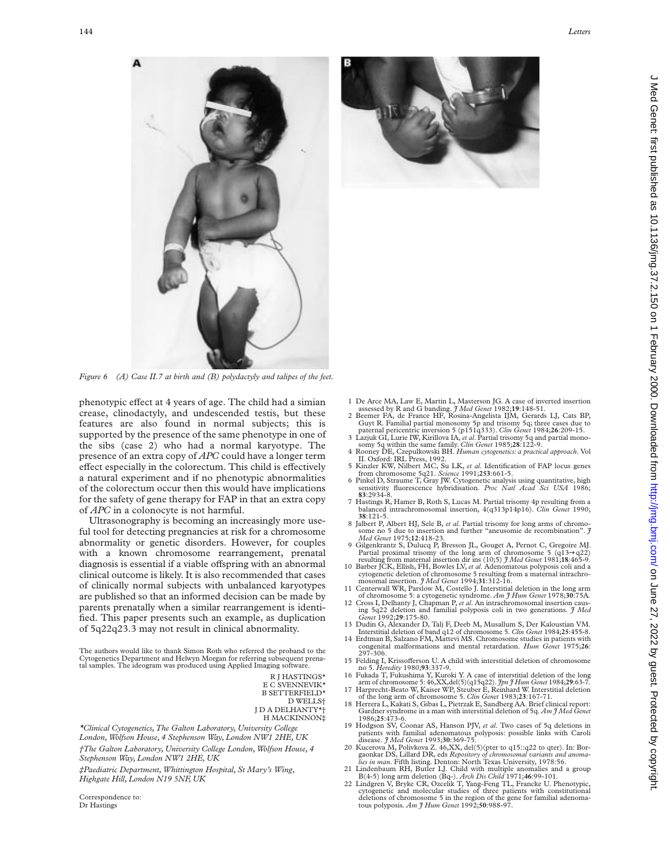

*Figure 6 (A) Case II.7 at birth and (B) polydactyly and talipes of the feet.*

phenotypic effect at 4 years of age. The child had a simian crease, clinodactyly, and undescended testis, but these features are also found in normal subjects; this is supported by the presence of the same phenotype in one of the sibs (case 2) who had a normal karyotype. The presence of an extra copy of *APC* could have a longer term effect especially in the colorectum. This child is effectively a natural experiment and if no phenotypic abnormalities of the colorectum occur then this would have implications for the safety of gene therapy for FAP in that an extra copy of *APC* in a colonocyte is not harmful.

Ultrasonography is becoming an increasingly more useful tool for detecting pregnancies at risk for a chromosome abnormality or genetic disorders. However, for couples with a known chromosome rearrangement, prenatal diagnosis is essential if a viable offspring with an abnormal clinical outcome is likely. It is also recommended that cases of clinically normal subjects with unbalanced karyotypes are published so that an informed decision can be made by parents prenatally when a similar rearrangement is identified. This paper presents such an example, as duplication of 5q22q23.3 may not result in clinical abnormality.

The authors would like to thank Simon Roth who referred the proband to the Cytogenetics Department and Helwyn Morgan for referring subsequent prenatal samples. The ideogram was produced using Applied Imaging software.

> R J HASTINGS\* E C SVENNEVIK\* B SETTERFIELD\* D WELLS† J D A DELHANTY\* H MACKINNON‡

*\*Clinical Cytogenetics, The Galton Laboratory, University College London, Wolfson House, 4 Stephenson Way, London NW1 2HE, UK †The Galton Laboratory, University College London, Wolfson House, 4*

*Stephenson Way, London NW1 2HE, UK*

*‡Paediatric Department, Whittington Hospital, St Mary's Wing, Highgate Hill, London N19 5NF, UK*

Correspondence to: Dr Hastings

- 1 De Arce MA, Law E, Martin L, Masterson JG. A case of inverted insertion
- assessed by R and G banding. *J Med Genet* 1982;**19**:148-51*.* 2 Beemer FA, de France HF, Rosina-Angelista IJM, Gerards LJ, Cats BP, Guyt R. Familial partial monosomy 5p and trisomy 5q; three cases due to paternal pericentric inversion 5 (p151q333). *Clin Genet* 1984;**26**:209-15.
- 3 Lazjuk GI, Lurie IW, Kirillova IA, et al. Partial trisomy 5q and partial monos<br>somy 5q within the same family. *Clin Genet* 1985;28:122-9.<br>4 Rooney DE, Czepulkowski BH. *Human cytogenetics: a practical approach*. Vol
- II. Oxford: IRL Press, 1992.
- 5 Kinzler KW, Nilbert MC, Su LK, *et al*. Identification of FAP locus genes from chromosome 5q21. *Science* 1991;**253**:661-5. 6 Pinkel D, Straume T, Gray JW. Cytogenetic analysis using quantitative, high
- sensitivity fluorescence hybridisation. *Proc Natl Acad Sci USA* 1986; **<sup>83</sup>**:2934-8.
- 7 Hastings R, Hamer B, Roth S, Lucas M. Partial trisomy 4p resulting from a balanced intrachromosomal insertion,  $4(q313p14p16)$ . *Clin Genet* 1990; **balanced intractations** in the tracherosomal insertion, 4(q314)  $P$ ,  $P$  and  $P$  and  $P$ . 8 Jalbert P, Albert HJ, Sele B, *et al.* Partial trisomy for long arms of chromo-
- some no 5 due to insertion and further "aneusomie de recombination". *J Med Genet* 1975;**12**:418-23*.*
- 9 Gilgenkrantz S, Dulucq P, Bresson JL, Gouget A, Pernot C, Gregoire MJ. Partial proximal trisomy of the long arm of chromosome 5 (q13→q22)
- resulting from maternal insertion dir ins (10;5) *J Med Genet* 1981;**18**:465-9. 10 Barber JCK, Ellish, FH, Bowles LV, *et al*. Adenomatous polyposis coli and a cytogenetic deletion of chromosome 5 resulting from a maternal intrachro-mosomal insertion. *J Med Genet* 1994;**31**:312-16.
- 11 Centerwall WR, Parslow M, Costello J. Interstitial deletion in the long arm of chromosome 5: a cytogenetic syndrome. *Am J Hum Genet* 1978;**30**:75A*.*
- 12 Cross I, Delhanty J, Chapman P, *et al*. An intrachromosomal insertion caus-ing 5q22 deletion and familial polyposis coli in two generations. *J Med Genet* 1992;**29**:175-80.
- .13 Dudin G, Alexander D, Talj F, Deeb M, Musallum S, Der Kaloustian VM<br>11 Interstitial deletion of band q12 of chromosome 5. Clin Genet 1984;25:455-8.<br>14 Erdtman B, Salzano FM, Mattevi MS. Chromosome studies in patients w
- congenital malformations and mental retardation. *Hum Genet* 1975;**26**: 297-306.
- 15 Felding I, Krissofferson U. A child with interstitial deletion of chromosome no 5. *Heredity* 1980;93:337-9.
- 16 Fukada T, Fukushima Y, Kuroki Y. A case of interstitial deletion of the long arm of chromosome 5: 46,XX,del(5)(q15q22). *Jpn J Hum Genet* 1984;**29**:63-7*.*
- 17 Harprecht-Beato W, Kaiser WP, Steuber E, Reinhard W. Interstitial deletion of the long arm of chromosome 5. *Clin Genet* 1983;**23**:167-71*.*
- 18 Herrera L, Kakati S, Gibas L, Pietrzak E, Sandberg AA. Brief clinical report: Gardner syndrome in a man with interstitial deletion of 5q. *Am J Med Genet* 1986;**25**:473-6. 19 Hodgson SV, Coonar AS, Hanson PJV, *et al*. Two cases of 5q deletions in
- patients with familial adenomatous polyposis: possible links with Caroli<br>disease. *J Med Genet* 1993;30:369-75.<br>Z0 Kucerova M, Polivkova Z. 46,XX, del(5)(pter to q15::q22 to qter). In: Bor-<br>gaonkar DS, Lillard DR, eds *Rep*
- *lies in man*. Fifth listing. Denton: North Texas University, 1978:56.
- 21 Lindenbaum RH, Butler LJ. Child with multiple anomalies and a group
- B(4-5) long arm deletion (Bq-). Arch Dis Child 1971;46:99-101.<br>22 Lindgren V, Bryke CR, Ozcelik T, Yang-Feng TL, Francke U. Phenotypic, cytogenetic and molecular studies of three patients with constitutional deletions of tous polyposis. *Am J Hum Genet* 1992;**50**:988-97.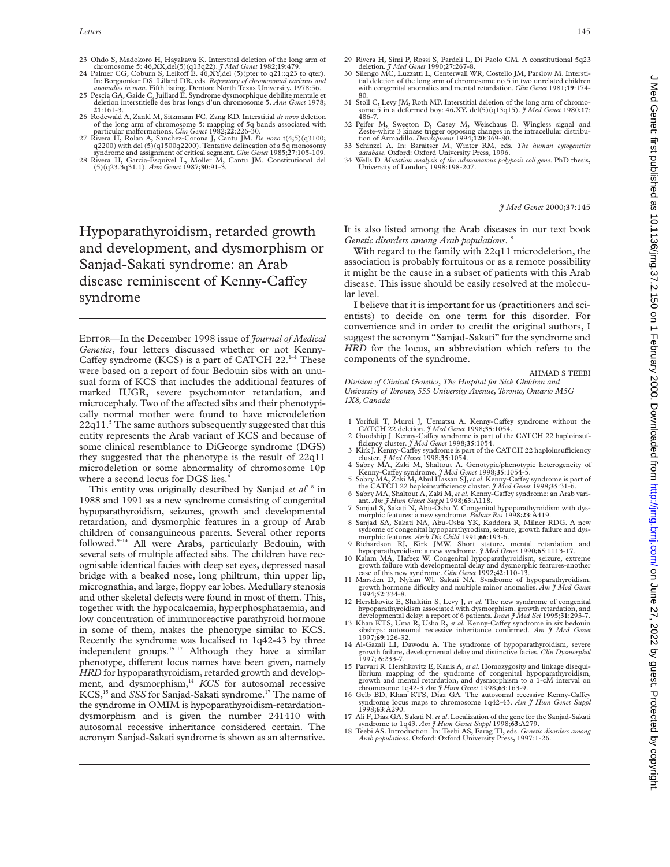- 
- 23 Ohdo S, Madokoro H, Hayakawa K. Intersitial deletion of the long arm of the nonsome 5: 46,XX,del(5)(q13q22).  $\mathcal{I}$  Med Genet 1982;19:479.<br>24 Palmer CG, Coburn S, Leikoff E. 46,XY,del (5)(pter to q21::q23 to qter). I
- deletion interstitielle des bras longs d'un chromosome 5. *Ann Genet* 1978;
- **<sup>21</sup>**:161-3. 26 Rodewald A, Zankl M, Sitzmann FC, Zang KD. Interstitial *de novo* deletion of the long arm of chromosome 5: mapping of 5q bands associated with particular malformations. *Clin Genet* 1982;**22**:226-30.
- 27 Rivera H, Rolan A, Sanchez-Corona J, Cantu JM. *De novo* t(4;5)(q3100; q2200) with del (5)(q1500q2200). Tentative delineation of a 5q monosomy
- syndrome and assignment of critical segment. *Clin Genet* 1985;**27**:105-109. 28 Rivera H, Garcia-Esquivel L, Moller M, Cantu JM. Constitutional del (5)(q23.3q31.1). *Ann Genet* 1987;**30**:91-3*.*
- 29 Rivera H, Simi P, Rossi S, Pardeli L, Di Paolo CM. A constitutional 5q23 deletion. *J Med Genet* 1990;**27**:267-8.
- 30 Silengo MC, Luzzatti L, Centerwall WR, Costello JM, Parslow M. Interstitial deletion of the long arm of chromosome no 5 in two unrelated children with congenital anomalies and mental retardation. *Clin Genet* 1981;**19**:174- <sup>80</sup>*.*
- 31 Stoll C, Levy JM, Roth MP. Interstitial deletion of the long arm of chromosome 5 in a deformed boy: 46,XY, del(5)(q13q15). *J Med Genet* 1980;**17**: 486-7*.*
- 32 Peifer M, Sweeton D, Casey M, Weischaus E. Wingless signal and Zeste-white 3 kinase trigger opposing changes in the intracellular distribu-tion of Armadillo. *Development* 1994;**120**:369-80. 33 Schinzel A. In: Baraitser M, Winter RM, eds. *The human cytogenetics*
- *database*. Oxford: Oxford University Press, 1996.
- 34 Wells D. *Mutation analysis of the adenomatous polyposis coli gene*. PhD thesis, University of London, 1998:198-207.

#### *J Med Genet* 2000;**37**:145

Hypoparathyroidism, retarded growth and development, and dysmorphism or Sanjad-Sakati syndrome: an Arab disease reminiscent of Kenny-Caffey syndrome

EDITOR—In the December 1998 issue of *Journal of Medical Genetics*, four letters discussed whether or not Kenny-Caffey syndrome (KCS) is a part of CATCH 22. $1-4$  These were based on a report of four Bedouin sibs with an unusual form of KCS that includes the additional features of marked IUGR, severe psychomotor retardation, and microcephaly. Two of the affected sibs and their phenotypically normal mother were found to have microdeletion  $22q11<sup>5</sup>$ . The same authors subsequently suggested that this entity represents the Arab variant of KCS and because of some clinical resemblance to DiGeorge syndrome (DGS) they suggested that the phenotype is the result of 22q11 microdeletion or some abnormality of chromosome 10p where a second locus for DGS lies.<sup>4</sup>

This entity was originally described by Sanjad *et al*7 8 in 1988 and 1991 as a new syndrome consisting of congenital hypoparathyroidism, seizures, growth and developmental retardation, and dysmorphic features in a group of Arab children of consanguineous parents. Several other reports followed.9–14 All were Arabs, particularly Bedouin, with several sets of multiple affected sibs. The children have recognisable identical facies with deep set eyes, depressed nasal bridge with a beaked nose, long philtrum, thin upper lip, micrognathia, and large, floppy ear lobes. Medullary stenosis and other skeletal defects were found in most of them. This, together with the hypocalcaemia, hyperphosphataemia, and low concentration of immunoreactive parathyroid hormone in some of them, makes the phenotype similar to KCS. Recently the syndrome was localised to 1q42-43 by three independent groups.15–17 Although they have a similar phenotype, different locus names have been given, namely *HRD* for hypoparathyroidism, retarded growth and development, and dysmorphism,<sup>14</sup> *KCS* for autosomal recessive KCS,<sup>15</sup> and *SSS* for Sanjad-Sakati syndrome.<sup>17</sup> The name of the syndrome in OMIM is hypoparathyroidism-retardationdysmorphism and is given the number 241410 with autosomal recessive inheritance considered certain. The acronym Sanjad-Sakati syndrome is shown as an alternative.

It is also listed among the Arab diseases in our text book *Genetic disorders among Arab populations*. 18

With regard to the family with 22q11 microdeletion, the association is probably fortuitous or as a remote possibility it might be the cause in a subset of patients with this Arab disease. This issue should be easily resolved at the molecular level.

I believe that it is important for us (practitioners and scientists) to decide on one term for this disorder. For convenience and in order to credit the original authors, I suggest the acronym "Sanjad-Sakati" for the syndrome and *HRD* for the locus, an abbreviation which refers to the components of the syndrome.

#### AHMAD S TEEBI

*Division of Clinical Genetics, The Hospital for Sick Children and University of Toronto, 555 University Avenue, Toronto, Ontario M5G 1X8, Canada*

- 1 Yorifuji T, Muroi J, Uematsu A. Kenny-Caffey syndrome without the CATCH 22 deletion. *I Med Genet* 1998;35:1054. 2 Goodship J. Kenny-Caffey syndrome is part of the CATCH 22 haploinsuf-
- ficiency cluster. *J Med Genet* 1998;**35**:1054. 3 Kirk J. Kenny-Caffey syndrome is part of the CATCH 22 haploinsufficiency
- cluster. *J Med Genet* 1998;35:1054.<br>4 Sabry MA, Zaki M, Shaltout A. Genotypic/phenotypic heterogeneity of<br>Kenny-Caffey syndrome. *J Med Genet* 1998;35:1054-5.
- 5 Sabry MA, Zaki M, Abul Hassan SJ, et al. Kenny-Caffey syndrome is part of
- the CATCH 22 haploinsufficiency cluster. *J Med Genet* 1998;35:31-6.<br>6 Sabry MA, Shaltout A, Zaki M, et al. Kenny-Caffey syndrome: an Arab variant. *Am J Hum Genet Suppl* 1998;**63**:A118.
- 7 Sanjad S, Sakati N, Abu-Osba Y. Congenital hypoparathyroidism with dys-
- morphic features: a new syndrome. *Pediatr Res* 1998;**23**:A419. 8 Sanjad SA, Sakati NA, Abu-Osba YK, Kaddora R, Milner RDG. A new sydrome of congenital hypoparathyrodism, seizure, growth failure and dys-morphic features. *Arch Dis Child* 1991;**66**:193-6.
- 9 Richardson RJ, Kirk JMW. Short stature, mental retardation and hypoparathyroidism: a new syndrome. *J Med Genet* 1990;65:1113-17.<br>10 Kalam MA, Hafeez W. Congenital hypoparathyroidism, seizure, extreme growth failure with
- 
- case of this new syndrome. *Clin Genet* 1992;**42**:110-13. 11 Marsden D, Nyhan Wl, Sakati NA. Syndrome of hypoparathyroidism, growth hormone dificulty and multiple minor anomalies. *Am J Med Genet*
- 1994;52:334-8.<br>
12 Hershkovitz E, Shaltitin S, Levy J, et al. The new syndrome of congenital<br>
hypoparathyroidism associated with dysmorphism, growth retardation, and<br>
developmental delay: a report of 6 patients. *Israel J*
- 13 Khan KTS, Uma R, Usha R, et al. Kenny-Caffey syndrome in six bedouin sibships: autosomal recessive inheritance confirmed. *Am J Med Genet*
- 1997;**69**:126-32. 14 Al-Gazali LI, Dawodu A. The syndrome of hypoparathyroidism, severe growth failure, developmental delay and distinctive facies. *Clin Dysmorphol*
- 1997; **<sup>6</sup>**:233-7. 15 Parvari R. Hershkovitz E, Kanis A, *et al*. Homozygosity and linkage disequi-librium mapping of the syndrome of congenital hypoparathyroidism, growth and mental retardation, and dysmorphism to a 1-cM interval on chromosome 1q42-3 *Am J Hum Genet* 1998;**63**:163-9.
- 16 Gelb BD, Khan KTS, Diaz GA. The autosomal recessive Kenny-Caffey syndrome locus maps to chromosome 1q42-43. *Am J Hum Genet Suppl* 1998;**63**:A290.
- 17 Ali F, Diaz GA, Sakati N,*et al*. Localization of the gene for the Sanjad-Sakati syndrome to 1q43. *Am J Hum Genet Suppl* 1998;**63**:A279. 18 Teebi AS. Introduction. In: Teebi AS, Farag TI, eds. *Genetic disorders among*
- *Arab populations*. Oxford: Oxford University Press, 1997:1-26.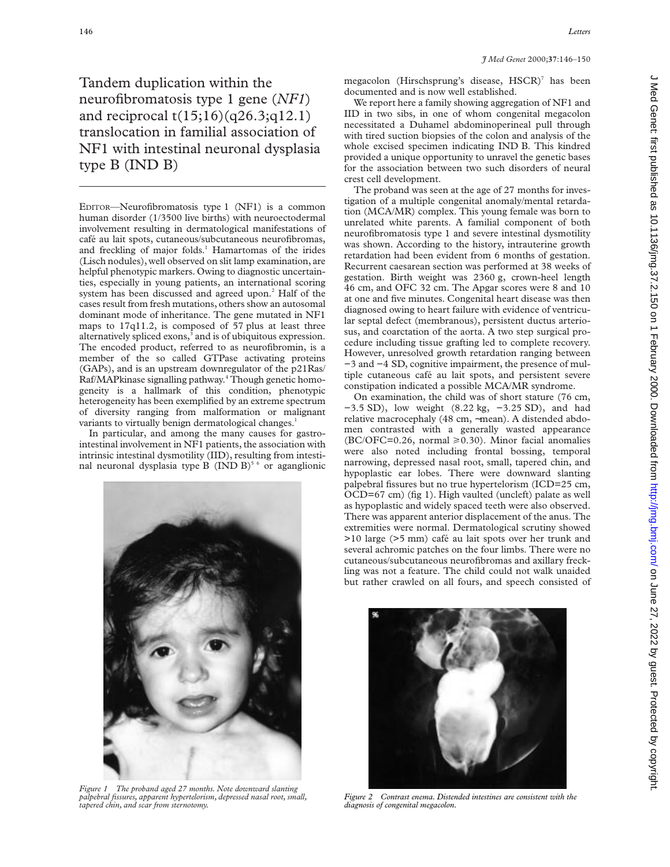## *J Med Genet* 2000;**37**:146–150

Tandem duplication within the neurofibromatosis type 1 gene (*NF1*) and reciprocal t(15;16)(q26.3;q12.1) translocation in familial association of NF1 with intestinal neuronal dysplasia type B (IND B)

EDITOR—Neurofibromatosis type 1 (NF1) is a common human disorder (1/3500 live births) with neuroectodermal involvement resulting in dermatological manifestations of café au lait spots, cutaneous/subcutaneous neurofibromas, and freckling of major folds.<sup>1</sup> Hamartomas of the irides (Lisch nodules), well observed on slit lamp examination, are helpful phenotypic markers. Owing to diagnostic uncertainties, especially in young patients, an international scoring system has been discussed and agreed upon.<sup>2</sup> Half of the cases result from fresh mutations, others show an autosomal dominant mode of inheritance. The gene mutated in NF1 maps to 17q11.2, is composed of 57 plus at least three alternatively spliced exons,<sup>3</sup> and is of ubiquitous expression. The encoded product, referred to as neurofibromin, is a member of the so called GTPase activating proteins (GAPs), and is an upstream downregulator of the p21Ras/ Raf/MAPkinase signalling pathway.4 Though genetic homogeneity is a hallmark of this condition, phenotypic heterogeneity has been exemplified by an extreme spectrum of diversity ranging from malformation or malignant variants to virtually benign dermatological changes.<sup>1</sup>

In particular, and among the many causes for gastrointestinal involvement in NF1 patients, the association with intrinsic intestinal dysmotility (IID), resulting from intestinal neuronal dysplasia type B  $(IND B)^{56}$  or aganglionic



*Figure 1 The proband aged 27 months. Note downward slanting palpebral fissures, apparent hypertelorism, depressed nasal root, small, tapered chin, and scar from sternotomy.*

megacolon (Hirschsprung's disease,  $HSCR$ )<sup>7</sup> has been documented and is now well established.

We report here a family showing aggregation of NF1 and IID in two sibs, in one of whom congenital megacolon necessitated a Duhamel abdominoperineal pull through with tired suction biopsies of the colon and analysis of the whole excised specimen indicating IND B. This kindred provided a unique opportunity to unravel the genetic bases for the association between two such disorders of neural crest cell development.

The proband was seen at the age of 27 months for investigation of a multiple congenital anomaly/mental retardation (MCA/MR) complex. This young female was born to unrelated white parents. A familial component of both neurofibromatosis type 1 and severe intestinal dysmotility was shown. According to the history, intrauterine growth retardation had been evident from 6 months of gestation. Recurrent caesarean section was performed at 38 weeks of gestation. Birth weight was 2360 g, crown-heel length 46 cm, and OFC 32 cm. The Apgar scores were 8 and 10 at one and five minutes. Congenital heart disease was then diagnosed owing to heart failure with evidence of ventricular septal defect (membranous), persistent ductus arteriosus, and coarctation of the aorta. A two step surgical procedure including tissue grafting led to complete recovery. However, unresolved growth retardation ranging between −3 and −4 SD, cognitive impairment, the presence of multiple cutaneous café au lait spots, and persistent severe constipation indicated a possible MCA/MR syndrome.

On examination, the child was of short stature (76 cm, −3.5 SD), low weight (8.22 kg, −3.25 SD), and had relative macrocephaly (48 cm, ∼mean). A distended abdomen contrasted with a generally wasted appearance  $(BC/OFC=0.26, normal \ge 0.30)$ . Minor facial anomalies were also noted including frontal bossing, temporal narrowing, depressed nasal root, small, tapered chin, and hypoplastic ear lobes. There were downward slanting palpebral fissures but no true hypertelorism (ICD=25 cm, OCD=67 cm) (fig 1). High vaulted (uncleft) palate as well as hypoplastic and widely spaced teeth were also observed. There was apparent anterior displacement of the anus. The extremities were normal. Dermatological scrutiny showed >10 large (>5 mm) café au lait spots over her trunk and several achromic patches on the four limbs. There were no cutaneous/subcutaneous neurofibromas and axillary freckling was not a feature. The child could not walk unaided but rather crawled on all fours, and speech consisted of

![](_page_7_Picture_12.jpeg)

*Figure 2 Contrast enema. Distended intestines are consistent with the diagnosis of congenital megacolon.*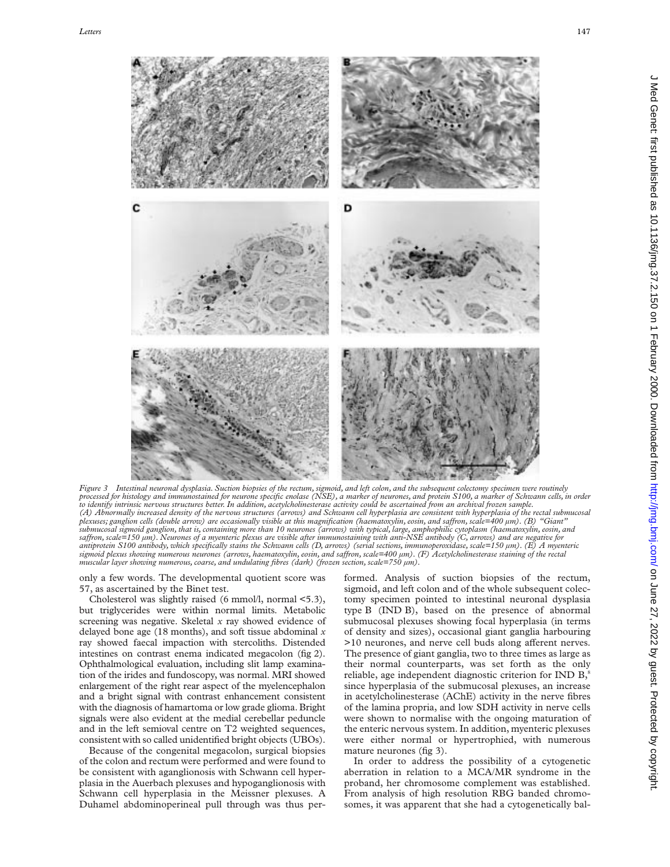![](_page_8_Figure_2.jpeg)

*Figure 3 Intestinal neuronal dysplasia. Suction biopsies of the rectum, sigmoid, and left colon, and the subsequent colectomy specimen were routinely processed for histology and immunostained for neurone specific enolase (NSE), a marker of neurones, and protein S100, a marker of Schwann cells, in order to identify intrinsic nervous structures better. In addition, acetylcholinesterase activity could be ascertained from an archival frozen sample. (A) Abnormally increased density of the nervous structures (arrows) and Schwann cell hyperplasia are consistent with hyperplasia of the rectal submucosal plexuses; ganglion cells (double arrow) are occasionally visible at this magnification (haematoxylin, eosin, and saffron, scale=400 µm). (B) "Giant" submucosal sigmoid ganglion, that is, containing more than 10 neurones (arrows) with typical, large, amphophilic cytoplasm (haematoxylin, eosin, and saVron, scale=150 µm). Neurones of a myenteric plexus are visible after immunostaining with anti-NSE antibody (C, arrows) and are negative for antiprotein S100 antibody, which specifically stains the Schwann cells (D, arrows) (serial sections, immunoperoxidase, scale=150 µm). (E) A myenteric* sigmoid plexus showing numerous neurones (arrows, haematoxylin, eosin, and saffron, scale=400 µm). (F) Acetylcholinesterase staining of the rectal *muscular layer showing numerous, coarse, and undulating fibres (dark) (frozen section, scale=750 µm).*

only a few words. The developmental quotient score was 57, as ascertained by the Binet test.

Cholesterol was slightly raised (6 mmol/l, normal <5.3), but triglycerides were within normal limits. Metabolic screening was negative. Skeletal *x* ray showed evidence of delayed bone age (18 months), and soft tissue abdominal *x* ray showed faecal impaction with stercoliths. Distended intestines on contrast enema indicated megacolon (fig 2). Ophthalmological evaluation, including slit lamp examination of the irides and fundoscopy, was normal. MRI showed enlargement of the right rear aspect of the myelencephalon and a bright signal with contrast enhancement consistent with the diagnosis of hamartoma or low grade glioma. Bright signals were also evident at the medial cerebellar peduncle and in the left semioval centre on T2 weighted sequences, consistent with so called unidentified bright objects (UBOs).

Because of the congenital megacolon, surgical biopsies of the colon and rectum were performed and were found to be consistent with aganglionosis with Schwann cell hyperplasia in the Auerbach plexuses and hypoganglionosis with Schwann cell hyperplasia in the Meissner plexuses. A Duhamel abdominoperineal pull through was thus performed. Analysis of suction biopsies of the rectum, sigmoid, and left colon and of the whole subsequent colectomy specimen pointed to intestinal neuronal dysplasia type B (IND B), based on the presence of abnormal submucosal plexuses showing focal hyperplasia (in terms of density and sizes), occasional giant ganglia harbouring >10 neurones, and nerve cell buds along afferent nerves. The presence of giant ganglia, two to three times as large as their normal counterparts, was set forth as the only reliable, age independent diagnostic criterion for IND  $B<sub>3</sub>$ <sup>s</sup> since hyperplasia of the submucosal plexuses, an increase in acetylcholinesterase (AChE) activity in the nerve fibres of the lamina propria, and low SDH activity in nerve cells were shown to normalise with the ongoing maturation of the enteric nervous system. In addition, myenteric plexuses were either normal or hypertrophied, with numerous mature neurones (fig 3).

In order to address the possibility of a cytogenetic aberration in relation to a MCA/MR syndrome in the proband, her chromosome complement was established. From analysis of high resolution RBG banded chromosomes, it was apparent that she had a cytogenetically bal-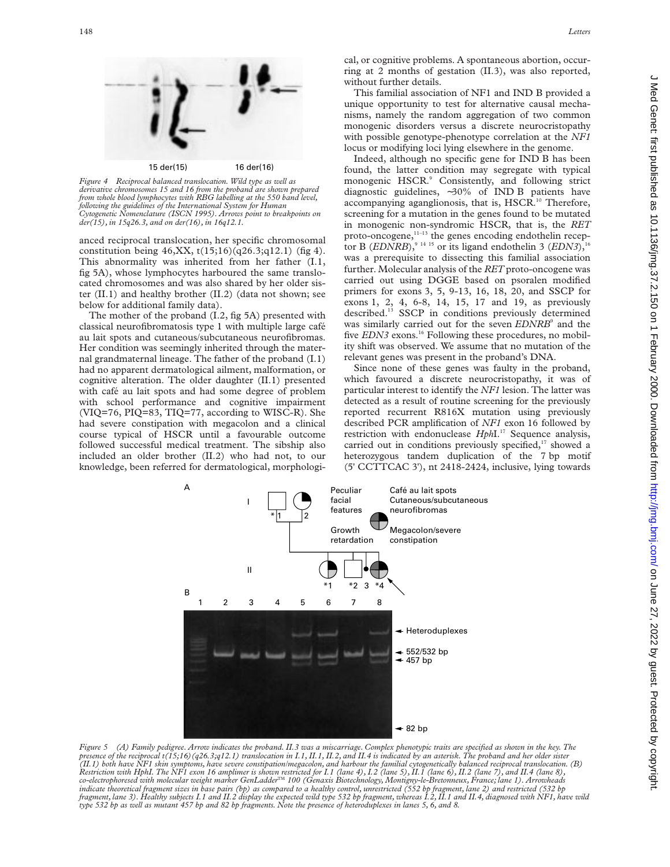![](_page_9_Figure_1.jpeg)

*Figure 4 Reciprocal balanced translocation. Wild type as well as derivative chromosomes 15 and 16 from the proband are shown prepared from whole blood lymphocytes with RBG labelling at the 550 band level, following the guidelines of the International System for Human Cytogenetic Nomenclature (ISCN 1995). Arrows point to breakpoints on der(15), in 15q26.3, and on der(16), in 16q12.1.*

anced reciprocal translocation, her specific chromosomal constitution being  $46, XX, t(15;16)(q26.3;q12.1)$  (fig 4). This abnormality was inherited from her father (I.1, fig 5A), whose lymphocytes harboured the same translocated chromosomes and was also shared by her older sister (II.1) and healthy brother (II.2) (data not shown; see below for additional family data).

The mother of the proband (I.2, fig 5A) presented with classical neurofibromatosis type 1 with multiple large café au lait spots and cutaneous/subcutaneous neurofibromas. Her condition was seemingly inherited through the maternal grandmaternal lineage. The father of the proband (I.1) had no apparent dermatological ailment, malformation, or cognitive alteration. The older daughter (II.1) presented with café au lait spots and had some degree of problem with school performance and cognitive impairment (VIQ=76, PIQ=83, TIQ=77, according to WISC-R). She had severe constipation with megacolon and a clinical course typical of HSCR until a favourable outcome followed successful medical treatment. The sibship also included an older brother (II.2) who had not, to our knowledge, been referred for dermatological, morphological, or cognitive problems. A spontaneous abortion, occurring at 2 months of gestation (II.3), was also reported, without further details.

This familial association of NF1 and IND B provided a unique opportunity to test for alternative causal mechanisms, namely the random aggregation of two common monogenic disorders versus a discrete neurocristopathy with possible genotype-phenotype correlation at the *NF1* locus or modifying loci lying elsewhere in the genome.

Indeed, although no specific gene for IND B has been found, the latter condition may segregate with typical monogenic HSCR.<sup>9</sup> Consistently, and following strict diagnostic guidelines, ∼30% of IND B patients have accompanying aganglionosis, that is, HSCR.<sup>10</sup> Therefore, screening for a mutation in the genes found to be mutated in monogenic non-syndromic HSCR, that is, the *RET* proto-oncogene,<sup>11-13</sup> the genes encoding endothelin receptor B (*EDNRB*),<sup>9 14 15</sup> or its ligand endothelin 3 (*EDN3*),<sup>16</sup> was a prerequisite to dissecting this familial association further. Molecular analysis of the *RET* proto-oncogene was carried out using DGGE based on psoralen modified primers for exons 3, 5, 9-13, 16, 18, 20, and SSCP for exons 1, 2, 4, 6-8, 14, 15, 17 and 19, as previously described.<sup>13</sup> SSCP in conditions previously determined was similarly carried out for the seven *EDNRB*<sup>9</sup> and the five *EDN3* exons.<sup>16</sup> Following these procedures, no mobility shift was observed. We assume that no mutation of the relevant genes was present in the proband's DNA.

Since none of these genes was faulty in the proband, which favoured a discrete neurocristopathy, it was of particular interest to identify the *NF1* lesion. The latter was detected as a result of routine screening for the previously reported recurrent R816X mutation using previously described PCR amplification of *NF1* exon 16 followed by restriction with endonuclease *Hph*I.<sup>17</sup> Sequence analysis, carried out in conditions previously specified,<sup>17</sup> showed a heterozygous tandem duplication of the 7 bp motif (5' CCTTCAC 3'), nt 2418-2424, inclusive, lying towards

![](_page_9_Figure_10.jpeg)

*Figure 5 (A) Family pedigree. Arrow indicates the proband. II.3 was a miscarriage. Complex phenotypic traits are specified as shown in the key. The presence of the reciprocal t(15;16)(q26.3;q12.1) translocation in I.1, II.1, II.2, and II.4 is indicated by an asterisk. The proband and her older sister* (II.1) both have NF1 skin symptoms, have severe constipation/megacolon, and harbour the familial cytogenetically balanced reciprocal translocation. (B)<br>Restriction with HphI. The NF1 exon 16 amplimer is shown restricted fo indicate theoretical fragment sizes in base pairs (bp) as compared to a healthy control, unrestricted (552 bp fragment, lane 2) and restricted (532 bp<br>fragment, lane 3). Healthy subjects I.1 and II.2 display the expected w *type 532 bp as well as mutant 457 bp and 82 bp fragments. Note the presence of heteroduplexes in lanes 5, 6, and 8.*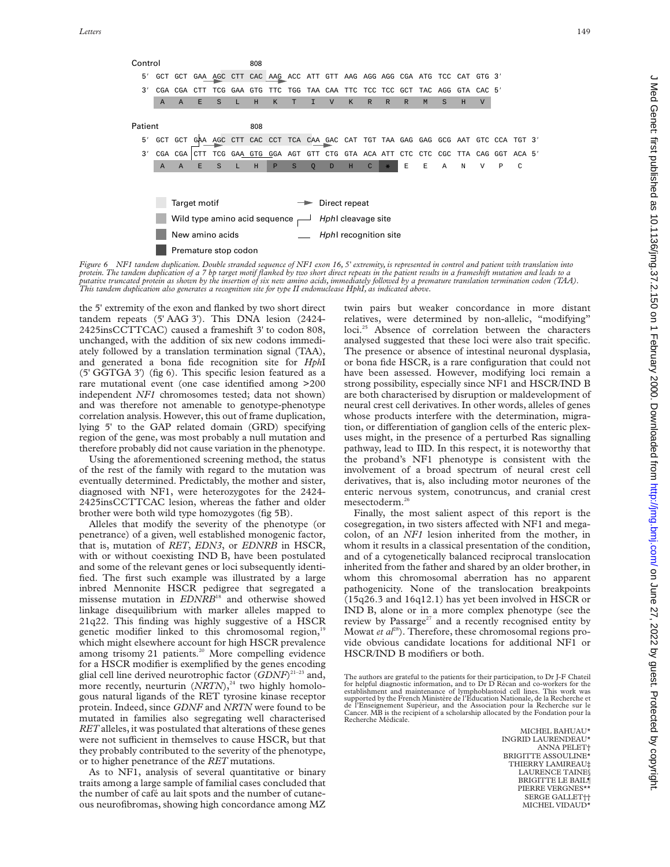![](_page_10_Figure_1.jpeg)

*Figure 6 NF1 tandem duplication. Double stranded sequence of NF1 exon 16, 5' extremity, is represented in control and patient with translation into protein. The tandem duplication of a 7 bp target motif flanked by two short direct repeats in the patient results in a frameshift mutation and leads to a putative truncated protein as shown by the insertion of six new amino acids, immediately followed by a premature translation termination codon (TAA). This tandem duplication also generates a recognition site for type II endonuclease HphI, as indicated above.*

the 5' extremity of the exon and flanked by two short direct tandem repeats (5' AAG 3'). This DNA lesion (2424- 2425insCCTTCAC) caused a frameshift 3' to codon 808, unchanged, with the addition of six new codons immediately followed by a translation termination signal (TAA), and generated a bona fide recognition site for *Hph*I (5' GGTGA 3') (fig 6). This specific lesion featured as a rare mutational event (one case identified among >200 independent *NF1* chromosomes tested; data not shown) and was therefore not amenable to genotype-phenotype correlation analysis. However, this out of frame duplication, lying 5' to the GAP related domain (GRD) specifying region of the gene, was most probably a null mutation and therefore probably did not cause variation in the phenotype.

Using the aforementioned screening method, the status of the rest of the family with regard to the mutation was eventually determined. Predictably, the mother and sister, diagnosed with NF1, were heterozygotes for the 2424- 2425insCCTTCAC lesion, whereas the father and older brother were both wild type homozygotes (fig 5B).

Alleles that modify the severity of the phenotype (or penetrance) of a given, well established monogenic factor, that is, mutation of *RET*, *EDN3*, or *EDNRB* in HSCR, with or without coexisting IND B, have been postulated and some of the relevant genes or loci subsequently identified. The first such example was illustrated by a large inbred Mennonite HSCR pedigree that segregated a missense mutation in *EDNRB*<sup>18</sup> and otherwise showed linkage disequilibrium with marker alleles mapped to 21q22. This finding was highly suggestive of a HSCR genetic modifier linked to this chromosomal region,<sup>19</sup> which might elsewhere account for high HSCR prevalence among trisomy 21 patients.<sup>20</sup> More compelling evidence for a HSCR modifier is exemplified by the genes encoding glial cell line derived neurotrophic factor (*GDNF*) 21–23 and, more recently, neurturin (*NRTN*),<sup>24</sup> two highly homologous natural ligands of the RET tyrosine kinase receptor protein. Indeed, since *GDNF* and *NRTN* were found to be mutated in families also segregating well characterised *RET* alleles, it was postulated that alterations of these genes were not sufficient in themselves to cause HSCR, but that they probably contributed to the severity of the phenotype, or to higher penetrance of the *RET* mutations.

As to NF1, analysis of several quantitative or binary traits among a large sample of familial cases concluded that the number of café au lait spots and the number of cutaneous neurofibromas, showing high concordance among MZ twin pairs but weaker concordance in more distant relatives, were determined by non-allelic, "modifying" loci.<sup>25</sup> Absence of correlation between the characters analysed suggested that these loci were also trait specific. The presence or absence of intestinal neuronal dysplasia, or bona fide HSCR, is a rare configuration that could not have been assessed. However, modifying loci remain a strong possibility, especially since NF1 and HSCR/IND B are both characterised by disruption or maldevelopment of neural crest cell derivatives. In other words, alleles of genes whose products interfere with the determination, migration, or differentiation of ganglion cells of the enteric plexuses might, in the presence of a perturbed Ras signalling pathway, lead to IID. In this respect, it is noteworthy that the proband's NF1 phenotype is consistent with the involvement of a broad spectrum of neural crest cell derivatives, that is, also including motor neurones of the enteric nervous system, conotruncus, and cranial crest mesectoderm.<sup>26</sup>

Finally, the most salient aspect of this report is the cosegregation, in two sisters affected with NF1 and megacolon, of an *NF1* lesion inherited from the mother, in whom it results in a classical presentation of the condition, and of a cytogenetically balanced reciprocal translocation inherited from the father and shared by an older brother, in whom this chromosomal aberration has no apparent pathogenicity. None of the translocation breakpoints (15q26.3 and 16q12.1) has yet been involved in HSCR or IND B, alone or in a more complex phenotype (see the review by Passarge<sup>27</sup> and a recently recognised entity by Mowat *et al*<sup>28</sup>). Therefore, these chromosomal regions provide obvious candidate locations for additional NF1 or HSCR/IND B modifiers or both.

The authors are grateful to the patients for their participation, to Dr J-F Chateil for helpful diagnostic information, and to Dr D Récan and co-workers for the establishment and maintenance of lymphoblastoid cell lines. This work was supported by the French Ministère de l'Education Nationale, de la Recherche et de l'Enseignement Supérieur, and the Association pour la Recherche sur le Cancer. MB is the recipient of a scholarship allocated by the Fondation pour la Recherche Médicale.

> MICHEL BAHUAU\* INGRID LAURENDEAU\* ANNA PELET† BRIGITTE ASSOULINE\* THIERRY LAMIREAU‡ LAURENCE TAINE§ BRIGITTE LE BAIL¶ PIERRE VERGNES\*\* SERGE GALLET†† MICHEL VIDAUD\*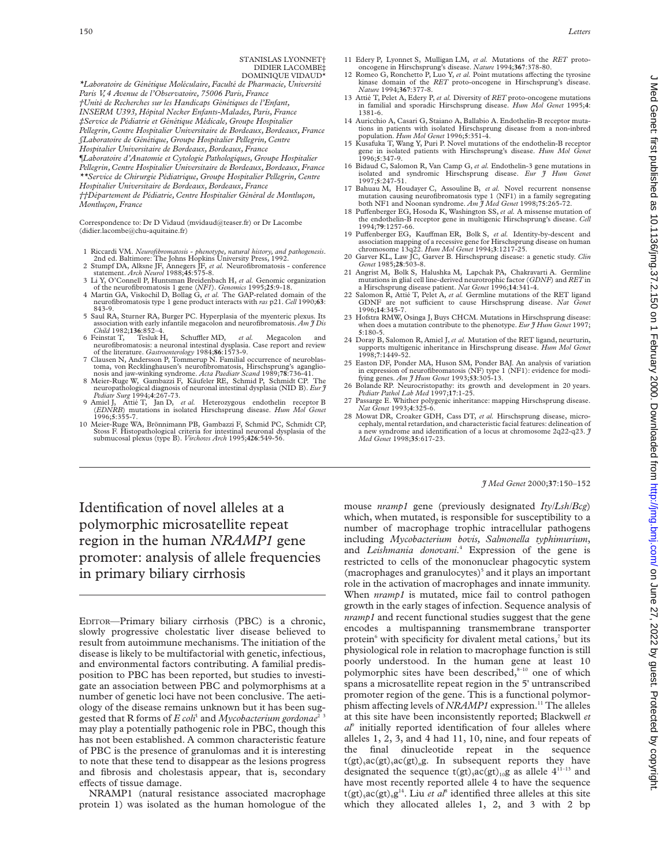DOMINIQUE VIDAUD\* *\*Laboratoire de Génétique Moléculaire, Faculté de Pharmacie, Université Paris V, 4 Avenue de l'Observatoire, 75006 Paris, France †Unité de Recherches sur les Handicaps Génétiques de l'Enfant, INSERM U393, Hôpital Necker Enfants-Malades, Paris, France ‡Service de Pédiatrie et Génétique Médicale, Groupe Hospitalier Pellegrin, Centre Hospitalier Universitaire de Bordeaux, Bordeaux, France §Laboratoire de Génétique, Groupe Hospitalier Pellegrin, Centre*

*Hospitalier Universitaire de Bordeaux, Bordeaux, France ¶Laboratoire d'Anatomie et Cytologie Pathologiques, Groupe Hospitalier*

*Pellegrin, Centre Hospitalier Universitaire de Bordeaux, Bordeaux, France \*\*Service de Chirurgie Pédiatrique, Groupe Hospitalier Pellegrin, Centre Hospitalier Universitaire de Bordeaux, Bordeaux, France*

*††Département de Pédiatrie, Centre Hospitalier Général de Montluçon, Montluçon, France*

Correspondence to: Dr D Vidaud (mvidaud@teaser.fr) or Dr Lacombe (didier.lacombe@chu-aquitaine.fr)

- 1 Riccardi VM. *Neurofibromatosis phenotype, natural history, and pathogenesis.*<br>2 Sundp C. Alksne JF, Annegers JF, *et al.* Neurofibromatosis conference<br>3 Sumpt DA, Alksne JF, Annegers JF, *et al.* Neurofibromatosis -
- 
- of the neurofibromatosis 1 gene (*NF1*). *Genomics* 1995;**25**:9-18. 4 Martin GA, Viskochil D, Bollag G, *et al.* The GAP-related domain of the neurofibromatosis type 1 gene product interacts with *ras* p21. *Cell* 1990;**63**: 843-9.
- 5 Saul RA, Sturner RA, Burger PC. Hyperplasia of the myenteric plexus. Its association with early infantile megacolon and neurofibromatosis. *Am J Dis*
- *Child* 1982;136:852-4.<br>6 Feinstat T, Tesluk H, 6 Feinstat T, Tesluk H, Schuffler MD, et al. Megacolon and neurofibromatosis: a neuronal intestinal dysplasia. Case report and review of the literature. *Gastroenterology* 1984;**86**:1573-9.
- 7 Clausen N, Andersson P, Tommerup N. Familial occurrence of neuroblas-toma, von Recklinghausen's neurofibromatosis, Hirschsprung's aganglio-nosis and jaw-winking syndrome. *Acta Paediatr Scand* 1989;**78**:736-41.
- 8 Meier-Ruge W, Gambazzi F, Käufeler RE, Schmid P, Schmidt CP. The neuropathological diagnosis of neuronal intestinal dysplasia (NID B). *Eur J*<br>*Pediatr Surg* 1994;4:267-73.<br>9 Amiel J, Attié T, Jan D, *et al.* Heterozygous endothelin receptor B
- (*EDNRB*) mutations in isolated Hirschsprung disease. *Hum Mol Genet* 1996;**5**:355-7.
- 10 Meier-Ruge WA, Brönnimann PB, Gambazzi F, Schmid PC, Schmidt CP, Stoss F. Histopathological criteria for intestinal neuronal dysplasia of the submucosal plexus (type B). *Virchows Arch* 1995;**426**:549-56.
- 11 Edery P, Lyonnet S, Mulligan LM, *et al.* Mutations of the *RET* proto-
- oncogene in Hirschsprung's disease. *Nature* 1994;367:378-80.<br>12 Romeo G, Ronchetto P, Luo Y, *et al.* Point mutations affecting the tyrosine kinase domain of the *RET* proto-oncogene in Hirschsprung's disease. *Nature* 1994;**367**:377-8.
- 13 Attié T, Pelet A, Edery P, *et al.* Diversity of *RET* proto-oncogene mutations in familial and sporadic Hirschsprung disease. *Hum Mol Genet* 1995;**4**: 1381-6.
- 14 Auricchio A, Casari G, Staiano A, Ballabio A. Endothelin-B receptor mutations in patients with isolated Hirschsprung disease from a non-inbred population. *Hum Mol Genet* 1996;**5**:351-4.
- 15 Kusafuka T, Wang Y, Puri P. Novel mutations of the endothelin-B receptor gene in isolated patients with Hirschsprung's disease. *Hum Mol Genet* 1996;**5**:347-9.
- 16 Bidaud C, Salomon R, Van Camp G, *et al.* Endothelin-3 gene mutations in isolated and syndromic Hirschsprung disease. *Eur J Hum Genet* 1997;**5**:247-51.
- 17 Bahuau M, Houdayer C, Assouline B, *et al.* Novel recurrent nonsense mutation causing neurofibromatosis type 1 (NF1) in a family segregating both NF1 and Noonan syndrome. *Am J Med Genet* 1998;**75**:265-72.
- 18 Puffenberger EG, Hosoda K, Washington SS, *et al.* A missense mutation of the endothelin-B receptor gene in multigenic Hirschsprung's disease. *Cell* 1994;**79**:1257-66.
- 19 Puffenberger EG, Kauffman ER, Bolk S, et al. Identity-by-descent and association mapping of a recessive gene for Hirschsprung disease on human chromosome 13q22. *Hum Mol Genet* 1994;**3**:1217-25.
- 20 Garver KL, Law JC, Garver B. Hirschsprung disease: a genetic study. *Clin Genet* 1985;**28**:503-8.
- 21 Angrist M, Bolk S, Halushka M, Lapchak PA, Chakravarti A. Germline mutations in glial cell line-derived neurotrophic factor (*GDNF*) and *RET* in
- a Hirschsprung disease patient. *Nat Genet* 1996;**14**:341-4. 22 Salomon R, Attié T, Pelet A, *et al.* Germline mutations of the RET ligand GDNF are not sufficient to cause Hirschsprung disease. *Nat Genet* 1996;14:345-7.
- 23 Hofstra RMW, Osinga J, Buys CHCM. Mutations in Hirschsprung disease: when does a mutation contribute to the phenotype. *Eur J Hum Genet* 1997; **5**:180-5.
- 24 Doray B, Salomon R, Amiel J, *et al.* Mutation of the RET ligand, neurturin, supports multigenic inheritance in Hirschsprung disease. *Hum Mol Genet* 1998;**7**:1449-52.
- 25 Easton DF, Ponder MA, Huson SM, Ponder BAJ. An analysis of variation in expression of neurofibromatosis (NF) type 1 (NF1): evidence for modi-fying genes. *Am J Hum Genet* 1993;**53**:305-13.
- 26 Bolande RP. Neurocristopathy: its growth and development in 20 years. *Pediatr Pathol Lab Med* 1997;**17**:1-25.
- 27 Passarge E. Whither polygenic inheritance: mapping Hirschsprung disease. *Nat Genet* 1993;**4**:325-6.
- 28 Mowat DR, Croaker GDH, Cass DT, *et al.* Hirschsprung disease, microcephaly, mental retardation, and characteristic facial features: delineation of a new syndrome and identification of a locus at chromosome 2q22-q23. *J Med Genet* 1998;**35**:617-23.

*J Med Genet* 2000;**37**:150–152

Identification of novel alleles at a polymorphic microsatellite repeat region in the human *NRAMP1* gene promoter: analysis of allele frequencies in primary biliary cirrhosis

NRAMP1 (natural resistance associated macrophage protein 1) was isolated as the human homologue of the

mouse *nramp1* gene (previously designated *Ity/Lsh/Bcg*) which, when mutated, is responsible for susceptibility to a number of macrophage trophic intracellular pathogens including *Mycobacterium bovis, Salmonella typhimurium*, and *Leishmania donovani*. <sup>4</sup> Expression of the gene is restricted to cells of the mononuclear phagocytic system (macrophages and granulocytes) $5$  and it plays an important role in the activation of macrophages and innate immunity. When *nramp1* is mutated, mice fail to control pathogen growth in the early stages of infection. Sequence analysis of *nramp1* and recent functional studies suggest that the gene encodes a multispanning transmembrane transporter protein $6$  with specificity for divalent metal cations, $7$  but its physiological role in relation to macrophage function is still poorly understood. In the human gene at least 10 polymorphic sites have been described, $8-10$  one of which spans a microsatellite repeat region in the 5' untranscribed promoter region of the gene. This is a functional polymorphism affecting levels of *NRAMP1* expression.<sup>11</sup> The alleles at this site have been inconsistently reported; Blackwell *et al*<sup>9</sup> initially reported identification of four alleles where alleles 1, 2, 3, and 4 had 11, 10, nine, and four repeats of the final dinucleotide repeat in the sequence  $t(gt)$ <sub>5</sub>ac(gt)<sub>5</sub>ac(gt)<sub>n</sub>g. In subsequent reports they have designated the sequence  $t(gt)_{5}ac(gt)_{10}g$  as allele  $4^{11-13}$  and have most recently reported allele 4 to have the sequence  $t(gt)$ <sub>5</sub>ac(gt)<sub>9</sub>g<sup>14</sup>. Liu *et al*<sup>8</sup> identified three alleles at this site which they allocated alleles 1, 2, and 3 with 2 bp

EDITOR—Primary biliary cirrhosis (PBC) is a chronic, slowly progressive cholestatic liver disease believed to result from autoimmune mechanisms. The initiation of the disease is likely to be multifactorial with genetic, infectious, and environmental factors contributing. A familial predisposition to PBC has been reported, but studies to investigate an association between PBC and polymorphisms at a number of genetic loci have not been conclusive. The aetiology of the disease remains unknown but it has been suggested that R forms of *E coli*<sup>1</sup> and *Mycobacterium gordonae*2 3 may play a potentially pathogenic role in PBC, though this has not been established. A common characteristic feature of PBC is the presence of granulomas and it is interesting to note that these tend to disappear as the lesions progress and fibrosis and cholestasis appear, that is, secondary effects of tissue damage.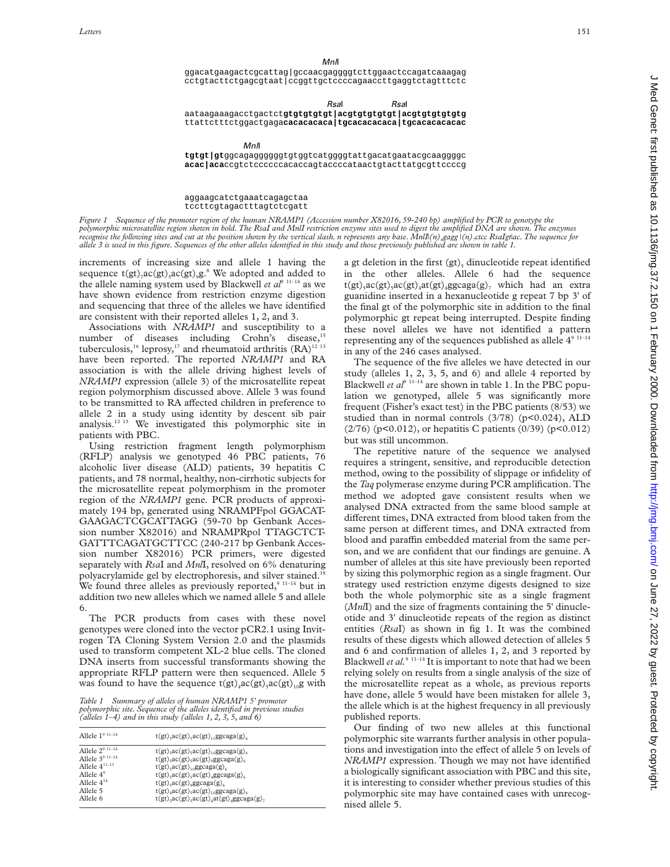J Med Genet: first published as 10.11136/jmg.37.2.150 on 1 February 2000. Downloaded from http://jmg.bm/ And February 2000. Downloaded from 1 February 2000. Downloaded from as 10.21.2.130.2. by guest. Protected by copyrigh Med Genet: first published as 10.1136/jmg.37.2.150 on 1 February 2000. Downloaded from http://jmg.bmj.com/ on June 27, 2022 by guest. Protected by copyright

ggacatgaagactcgcattag|gccaacgaggggtcttggaactccagatcaaagag cctgtacttctgagcgtaat|ccggttgctccccagaaccttgaggtctagtttctc

#### *Rsa*I *Rsa*I

aataagaaagacctgactct**gtgtgtgtgt|acgtgtgtgtgt|acgtgtgtgtgtg** ttattctttctggactgaga**cacacacaca|tgcacacacaca|tgcacacacacac**

*Mnl*I

**tgtgt|gt**ggcagaggggggtgtggtcatggggtattgacatgaatacgcaaggggc **acac|aca**ccgtctccccccacaccagtaccccataactgtacttatgcgttccccg

aggaagcatctgaaatcagagctaa tccttcgtagactttagtctcgatt

*Figure 1 Sequence of the promoter region of the human NRAMP1 (Accession number X82016, 59-240 bp) amplified by PCR to genotype the polymorphic microsatellite region shown in bold. The RsaI and MnlI restriction enzyme sites used to digest the amplified DNA are shown. The enzymes recognise the following sites and cut at the position shown by the vertical slash. n represents any base. MnlI* $(n)$  *gagg*  $(n)$ *, ctcc RsaIgtac. The sequence for allele 3 is used in this figure. Sequences of the other alleles identified in this study and those previously published are shown in table 1.*

increments of increasing size and allele 1 having the sequence  $t(gt)$ <sub>7</sub>ac(gt)<sub>5</sub>ac(gt)<sub>9</sub>g.<sup>8</sup> We adopted and added to the allele naming system used by Blackwell *et al*<sup>9 11-14</sup> as we have shown evidence from restriction enzyme digestion and sequencing that three of the alleles we have identified are consistent with their reported alleles 1, 2, and 3.

Associations with *NRAMP1* and susceptibility to a number of diseases including Crohn's disease,<sup>15</sup> tuberculosis,<sup>16</sup> leprosy,<sup>17</sup> and rheumatoid arthritis  $(RA)^{12}$ <sup>13</sup> have been reported. The reported *NRAMP1* and RA association is with the allele driving highest levels of *NRAMP1* expression (allele 3) of the microsatellite repeat region polymorphism discussed above. Allele 3 was found to be transmitted to RA affected children in preference to allele 2 in a study using identity by descent sib pair analysis.12 13 We investigated this polymorphic site in patients with PBC.

Using restriction fragment length polymorphism (RFLP) analysis we genotyped 46 PBC patients, 76 alcoholic liver disease (ALD) patients, 39 hepatitis C patients, and 78 normal, healthy, non-cirrhotic subjects for the microsatellite repeat polymorphism in the promoter region of the *NRAMP1* gene*.* PCR products of approximately 194 bp, generated using NRAMPFpol GGACAT-GAAGACTCGCATTAGG (59-70 bp Genbank Accession number X82016) and NRAMPRpol TTAGCTCT-GATTTCAGATGCTTCC (240-217 bp Genbank Accession number X82016) PCR primers, were digested separately with *Rsa*I and *Mnl*I, resolved on 6% denaturing polyacrylamide gel by electrophoresis, and silver stained.<sup>18</sup> We found three alleles as previously reported, $911-14$  but in addition two new alleles which we named allele 5 and allele 6.

The PCR products from cases with these novel genotypes were cloned into the vector pCR2.1 using Invitrogen TA Cloning System Version 2.0 and the plasmids used to transform competent XL-2 blue cells. The cloned DNA inserts from successful transformants showing the appropriate RFLP pattern were then sequenced. Allele 5 was found to have the sequence  $t(gt)_{4}ac(gt)_{10}g$  with

*Table 1 Summary of alleles of human NRAMP1 5' promoter polymorphic site. Sequence of the alleles identified in previous studies (alleles 1–4) and in this study (alleles 1, 2, 3, 5, and 6)*

| Allele $1^{9}$ <sup>11-14</sup>                                                                                                          | $t(gt)$ <sub>5</sub> $ac(gt)$ <sub>5</sub> $ac(gt)$ <sub>11</sub> ggcaga(g) <sub>6</sub>                                                                                                                                                                                                                                                                                                                                                                                                                                                                                                                                                                  |  |
|------------------------------------------------------------------------------------------------------------------------------------------|-----------------------------------------------------------------------------------------------------------------------------------------------------------------------------------------------------------------------------------------------------------------------------------------------------------------------------------------------------------------------------------------------------------------------------------------------------------------------------------------------------------------------------------------------------------------------------------------------------------------------------------------------------------|--|
| Allele $2^{9}$ <sup>11-14</sup><br>Allele $3^{9}$ 11-14<br>Allele $4^{11-13}$<br>Allele $4^9$<br>Allele $4^{14}$<br>Allele 5<br>Allele 6 | $t(gt)$ <sub>5</sub> ac(gt) <sub>5</sub> ac(gt) <sub>10</sub> ggcaga(g) <sub>6</sub><br>$t(gt)$ <sub>5</sub> $ac(gt)$ <sub>5</sub> $ac(gt)$ <sub>9</sub> $gcaga(g)$ <sub>6</sub><br>$t(gt)$ <sub>5</sub> ac(gt) <sub>10</sub> ggcaga(g) <sub>6</sub><br>$t(gt)$ <sub>5</sub> $ac(gt)$ <sub>5</sub> $ac(gt)$ <sub>4</sub> ggcaga(g) <sub>6</sub><br>$t(gt)$ <sub>5</sub> ac(gt) <sub>9</sub> ggcaga(g) <sub>6</sub><br>$t(gt)$ <sub>4</sub> ac(gt) <sub>5</sub> ac(gt) <sub>10</sub> ggcaga(g) <sub>6</sub><br>$t(gt)$ <sub>5</sub> $\text{ac(gt)}$ <sub>5</sub> $\text{ac(gt)}$ <sub>4</sub> $\text{at(gt)}$ <sub>4</sub> $\text{ggcaga(g)}$ <sub>7</sub> |  |

a gt deletion in the first  $(gt)$ <sub>5</sub> dinucleotide repeat identified in the other alleles. Allele 6 had the sequence  $t(gt)$ <sub>5</sub>ac(gt)<sub>5</sub>ac(gt)<sub>4</sub>at(gt)<sub>4</sub>ggcaga(g)<sub>7</sub> which had an extra guanidine inserted in a hexanucleotide g repeat 7 bp 3' of the final gt of the polymorphic site in addition to the final polymorphic gt repeat being interrupted. Despite finding these novel alleles we have not identified a pattern representing any of the sequences published as allele  $4^{\circ}$  11-14 in any of the 246 cases analysed.

The sequence of the five alleles we have detected in our study (alleles 1, 2, 3, 5, and 6) and allele 4 reported by Blackwell *et al*<sup>9</sup>  $^{11-14}$  are shown in table 1. In the PBC population we genotyped, allele 5 was significantly more frequent (Fisher's exact test) in the PBC patients (8/53) we studied than in normal controls  $(3/78)$  (p<0.024), ALD (2/76) (p<0.012), or hepatitis C patients (0/39) (p<0.012) but was still uncommon.

The repetitive nature of the sequence we analysed requires a stringent, sensitive, and reproducible detection method, owing to the possibility of slippage or infidelity of the *Taq* polymerase enzyme during PCR amplification. The method we adopted gave consistent results when we analysed DNA extracted from the same blood sample at different times, DNA extracted from blood taken from the same person at different times, and DNA extracted from blood and paraffin embedded material from the same person, and we are confident that our findings are genuine. A number of alleles at this site have previously been reported by sizing this polymorphic region as a single fragment. Our strategy used restriction enzyme digests designed to size both the whole polymorphic site as a single fragment (*Mnl*I) and the size of fragments containing the 5' dinucleotide and 3' dinucleotide repeats of the region as distinct entities (*Rsa*I) as shown in fig 1. It was the combined results of these digests which allowed detection of alleles 5 and 6 and confirmation of alleles 1, 2, and 3 reported by Blackwell *et al.*<sup>9</sup><sup>11-14</sup> It is important to note that had we been relying solely on results from a single analysis of the size of the microsatellite repeat as a whole, as previous reports have done, allele 5 would have been mistaken for allele 3, the allele which is at the highest frequency in all previously published reports.

Our finding of two new alleles at this functional polymorphic site warrants further analysis in other populations and investigation into the effect of allele 5 on levels of *NRAMP1* expression. Though we may not have identified a biologically significant association with PBC and this site, it is interesting to consider whether previous studies of this polymorphic site may have contained cases with unrecognised allele 5.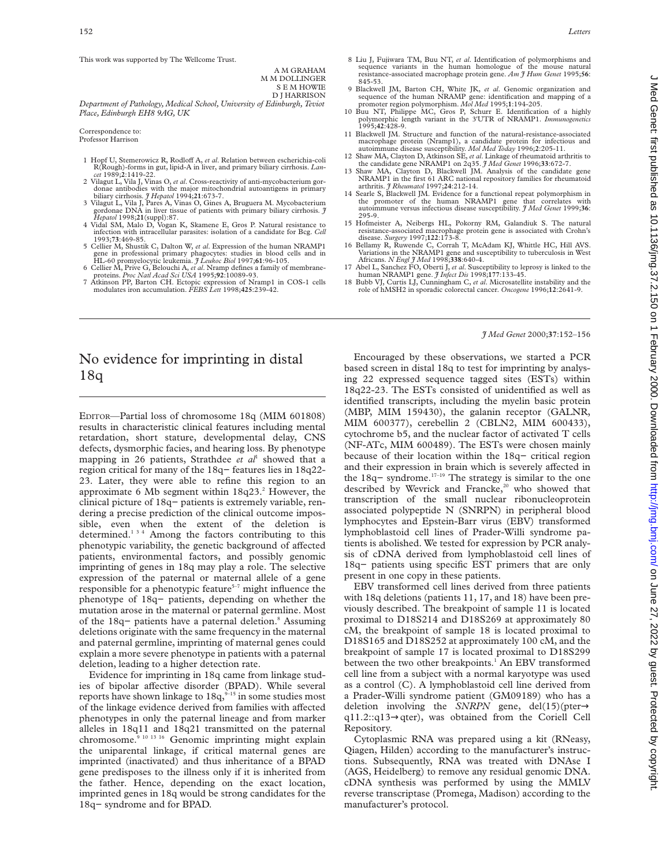This work was supported by The Wellcome Trust.

A M GRAHAM M M DOLLINGER S E M HOWIE D J HARRISON

*Department of Pathology, Medical School, University of Edinburgh, Teviot Place, Edinburgh EH8 9AG, UK*

Correspondence to: Professor Harrison

- 1 Hopf U, Stemerowicz R, Rodloff A, *et al.* Relation between escherichia-coli R(Rough)-forms in gut, lipid-A in liver, and primary biliary cirrhosis. *Lancet* 1989;**2**:1419-22.
- 2 Vilagut L, Vila J, Vinas O, *et al*. Cross-reactivity of anti-mycobacterium gordonae antibodies with the major mitochondrial autoantigens in primary biliary cirrhosis. *J Hepatol* 1994;**21**:673-7.
- 3 Vilagut L, Vila J, Pares A, Vinas O, Gines A, Bruguera M. Mycobacterium<br>gordonae DNA in liver tissue of patients with primary biliary cirrhosis. *J*<br>*Hepatol* 1998;21 (suppl):87.<br>4 Vidal SM, Malo D, Vogan K, Skamene E, G
- infection with intracellular parasites: isolation of a candidate for Bcg. *Cell* 1993;**73**:469-85.
- 5 Cellier M, Shustik C, Dalton W, *et al*. Expression of the human NRAMP1 gene in professional primary phagocytes: studies in blood cells and in HL-60 promyelocytic leukemia.  $\tilde{J}$  *Leukoc Biol* 1997;61:96-105.<br>6 Cellier M, Prive G, Belouchi A, *et al.* Nramp defines a family of membrane-prot
- 7 Atkinson PP, Barton CH. Ectopic expression of Nramp1 in COS-1 cells modulates iron accumulation. *FEBS Lett* 1998;**425**:239-42.
- 8 Liu J, Fujiwara TM, Buu NT, *et al*. Identification of polymorphisms and sequence variants in the human homologue of the mouse natural resistance-associated macrophage protein gene. *Am J Hum Genet* 1995;**56**: 845-53.
- 9 Blackwell JM, Barton CH, White JK, *et al*. Genomic organization and sequence of the human NRAMP gene: identification and mapping of a promoter region polymorphism. *Mol Med* 1995;**1**:194-205.
- 10 Buu NT, Philippe MC, Gros P, Schurr E. Identification of a highly polymorphic length variant in the 3'UTR of NRAMP1. *Immunogenetics* 1995;**42**:428-9. 11 Blackwell JM. Structure and function of the natural-resistance-associated
- macrophage protein (Nramp1), a candidate protein for infectious and autoimmune disease susceptibility. *Mol Med Today* 1996;**2**:205-11. 12 Shaw MA, Clayton D, Atkinson SE, *et al*. Linkage of rheumatoid arthritis to
- the candidate gene NRAMP1 on 2q35. *J Med Genet* 1996;**33**:672-7. 13 Shaw MA, Clayton D, Blackwell JM. Analysis of the candidate gene
- NRAMP1 in the first 61 ARC national repository families for rheumatoid arthritis. *J Rheumatol* 1997;**24**:212-14.
- Searle S, Blackwell JM. Evidence for a functional repeat polymorphism in the promoter of the human NRAMP1 gene that correlates with autoimmune versus infectious disease susceptibility. *J Med Genet* 1999;**36**: 295-9.
- 15 Hofmeister A, Neibergs HL, Pokorny RM, Galandiuk S. The natural resistance-associated macrophage protein gene is associated with Crohn's disease. *Surgery* 1997;**122**:173-8.
- 16 Bellamy R, Ruwende C, Corrah T, McAdam KJ, Whittle HC, Hill AVS.
- Variations in the NRAMP1 gene and susceptibility to tuberculosis in West<br>Africans. *N Engl J Med* 1998;338:640-4.<br>The L, Sanchez FO, Oberti J, *et al.* Susceptibility to leprosy is linked to the<br>human NRAMP1 gene. *J Infec*
- 18 Bubb VJ, Curtis LJ, Cunningham C, *et al*. Microsatellite instability and the role of hMSH2 in sporadic colorectal cancer. *Oncogene* 1996;**12**:2641-9.

# No evidence for imprinting in distal 18q

EDITOR—Partial loss of chromosome 18q (MIM 601808) results in characteristic clinical features including mental retardation, short stature, developmental delay, CNS defects, dysmorphic facies, and hearing loss. By phenotype mapping in 26 patients, Strathdee *et al*<sup>1</sup> showed that a region critical for many of the 18q− features lies in 18q22- 23. Later, they were able to refine this region to an approximate 6 Mb segment within  $18q23.<sup>2</sup>$  However, the clinical picture of 18q− patients is extremely variable, rendering a precise prediction of the clinical outcome impossible, even when the extent of the deletion is determined.<sup>134</sup> Among the factors contributing to this phenotypic variability, the genetic background of affected patients, environmental factors, and possibly genomic imprinting of genes in 18q may play a role. The selective expression of the paternal or maternal allele of a gene responsible for a phenotypic feature $5-7$  might influence the phenotype of 18q− patients, depending on whether the mutation arose in the maternal or paternal germline. Most of the 18q− patients have a paternal deletion.<sup>8</sup> Assuming deletions originate with the same frequency in the maternal and paternal germline, imprinting of maternal genes could explain a more severe phenotype in patients with a paternal deletion, leading to a higher detection rate.

Evidence for imprinting in 18q came from linkage studies of bipolar affective disorder (BPAD). While several reports have shown linkage to  $18q<sub>9</sub><sup>9-15</sup>$  in some studies most of the linkage evidence derived from families with affected phenotypes in only the paternal lineage and from marker alleles in 18q11 and 18q21 transmitted on the paternal chromosome.<sup>9 10 13 16</sup> Genomic imprinting might explain the uniparental linkage, if critical maternal genes are imprinted (inactivated) and thus inheritance of a BPAD gene predisposes to the illness only if it is inherited from the father. Hence, depending on the exact location, imprinted genes in 18q would be strong candidates for the 18q− syndrome and for BPAD.

## *J Med Genet* 2000;**37**:152–156

Encouraged by these observations, we started a PCR based screen in distal 18q to test for imprinting by analysing 22 expressed sequence tagged sites (ESTs) within 18q22-23. The ESTs consisted of unidentified as well as identified transcripts, including the myelin basic protein (MBP, MIM 159430), the galanin receptor (GALNR, MIM 600377), cerebellin 2 (CBLN2, MIM 600433), cytochrome b5, and the nuclear factor of activated T cells (NF-ATc, MIM 600489). The ESTs were chosen mainly because of their location within the 18q− critical region and their expression in brain which is severely affected in the 18q− syndrome.17–19 The strategy is similar to the one described by Wevrick and Francke,<sup>20</sup> who showed that transcription of the small nuclear ribonucleoprotein associated polypeptide N (SNRPN) in peripheral blood lymphocytes and Epstein-Barr virus (EBV) transformed lymphoblastoid cell lines of Prader-Willi syndrome patients is abolished. We tested for expression by PCR analysis of cDNA derived from lymphoblastoid cell lines of 18q− patients using specific EST primers that are only present in one copy in these patients.

EBV transformed cell lines derived from three patients with 18q deletions (patients 11, 17, and 18) have been previously described. The breakpoint of sample 11 is located proximal to D18S214 and D18S269 at approximately 80 cM, the breakpoint of sample 18 is located proximal to D18S165 and D18S252 at approximately 100 cM, and the breakpoint of sample 17 is located proximal to D18S299 between the two other breakpoints.<sup>1</sup> An EBV transformed cell line from a subject with a normal karyotype was used as a control (C). A lymphoblastoid cell line derived from a Prader-Willi syndrome patient (GM09189) who has a deletion involving the *SNRPN* gene, del(15)(pter→ q11.2::q13→qter), was obtained from the Coriell Cell Repository.

Cytoplasmic RNA was prepared using a kit (RNeasy, Qiagen, Hilden) according to the manufacturer's instructions. Subsequently, RNA was treated with DNAse I (AGS, Heidelberg) to remove any residual genomic DNA. cDNA synthesis was performed by using the MMLV reverse transcriptase (Promega, Madison) according to the manufacturer's protocol.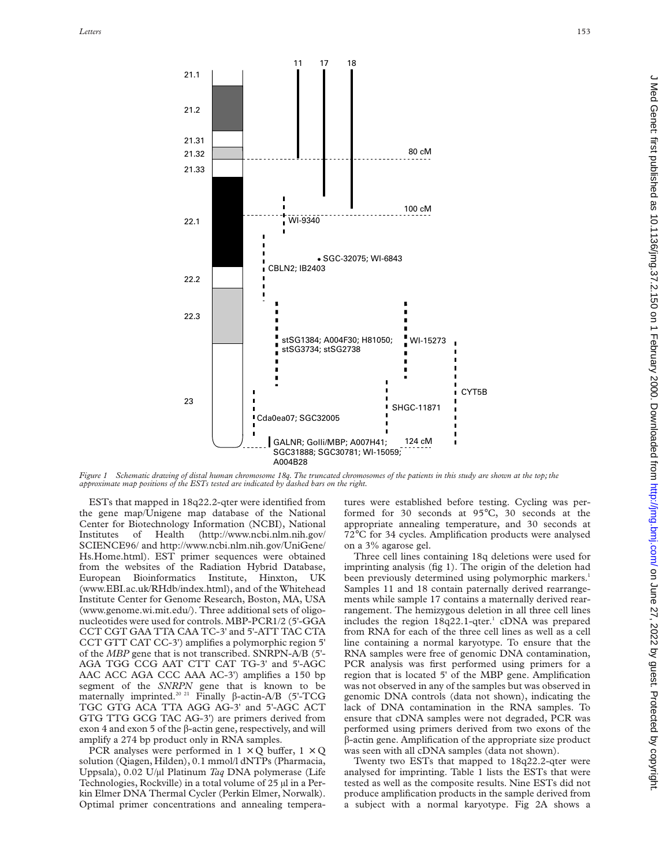![](_page_14_Figure_1.jpeg)

*Figure 1 Schematic drawing of distal human chromosome 18q. The truncated chromosomes of the patients in this study are shown at the top; the approximate map positions of the ESTs tested are indicated by dashed bars on the right.*

ESTs that mapped in 18q22.2-qter were identified from the gene map/Unigene map database of the National Center for Biotechnology Information (NCBI), National<br>Institutes of Health (http://www.ncbi.nlm.nih.gov/ Institutes of Health (http://www.ncbi.nlm.nih.gov/ SCIENCE96/ and http://www.ncbi.nlm.nih.gov/UniGene/ Hs.Home.html). EST primer sequences were obtained from the websites of the Radiation Hybrid Database, European Bioinformatics Institute, Hinxton, UK (www.EBI.ac.uk/RHdb/index.html), and of the Whitehead Institute Center for Genome Research, Boston, MA, USA (www.genome.wi.mit.edu/). Three additional sets of oligonucleotides were used for controls. MBP-PCR1/2 (5'-GGA CCT CGT GAA TTA CAA TC-3' and 5'-ATT TAC CTA CCT GTT CAT CC-3') amplifies a polymorphic region 5' of the *MBP* gene that is not transcribed. SNRPN-A/B (5'- AGA TGG CCG AAT CTT CAT TG-3' and 5'-AGC AAC ACC AGA CCC AAA AC-3') amplifies a 150 bp segment of the *SNRPN* gene that is known to be maternally imprinted.<sup>20 21</sup> Finally  $\beta$ -actin-A/B (5'-TCG TGC GTG ACA TTA AGG AG-3' and 5'-AGC ACT GTG TTG GCG TAC AG-3') are primers derived from exon 4 and exon 5 of the  $\beta$ -actin gene, respectively, and will amplify a 274 bp product only in RNA samples.

PCR analyses were performed in  $1 \times Q$  buffer,  $1 \times Q$ solution (Qiagen, Hilden), 0.1 mmol/l dNTPs (Pharmacia, Uppsala), 0.02 U/µl Platinum *Taq* DNA polymerase (Life Technologies, Rockville) in a total volume of 25 µl in a Perkin Elmer DNA Thermal Cycler (Perkin Elmer, Norwalk). Optimal primer concentrations and annealing temperatures were established before testing. Cycling was performed for 30 seconds at 95°C, 30 seconds at the appropriate annealing temperature, and 30 seconds at 72°C for 34 cycles. Amplification products were analysed on a 3% agarose gel.

Three cell lines containing 18q deletions were used for imprinting analysis (fig 1). The origin of the deletion had been previously determined using polymorphic markers.<sup>1</sup> Samples 11 and 18 contain paternally derived rearrangements while sample 17 contains a maternally derived rearrangement. The hemizygous deletion in all three cell lines includes the region  $18q22.1$ -qter.<sup>1</sup> cDNA was prepared from RNA for each of the three cell lines as well as a cell line containing a normal karyotype. To ensure that the RNA samples were free of genomic DNA contamination, PCR analysis was first performed using primers for a region that is located 5' of the MBP gene. Amplification was not observed in any of the samples but was observed in genomic DNA controls (data not shown), indicating the lack of DNA contamination in the RNA samples. To ensure that cDNA samples were not degraded, PCR was performed using primers derived from two exons of the â-actin gene. Amplification of the appropriate size product was seen with all cDNA samples (data not shown).

Twenty two ESTs that mapped to 18q22.2-qter were analysed for imprinting. Table 1 lists the ESTs that were tested as well as the composite results. Nine ESTs did not produce amplification products in the sample derived from a subject with a normal karyotype. Fig 2A shows a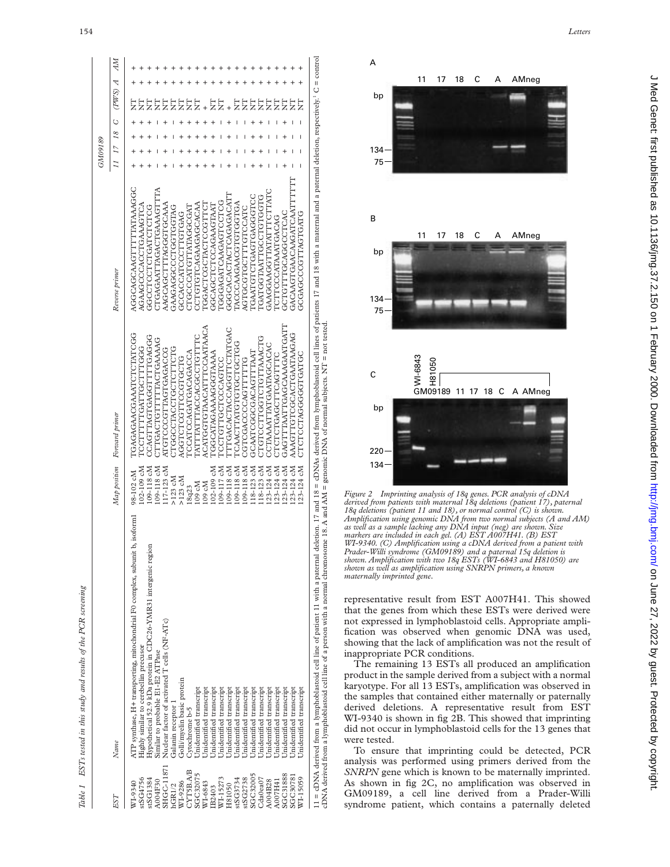|                   |                                                                                                                                                                                                                                   |                |                             |                            | GM09189  |                              |         |    |
|-------------------|-----------------------------------------------------------------------------------------------------------------------------------------------------------------------------------------------------------------------------------|----------------|-----------------------------|----------------------------|----------|------------------------------|---------|----|
| EST               | Name                                                                                                                                                                                                                              | Map position   | Forward primer              | Reverse primer             | 11 17 18 | $\circ$                      | (PWS) A | ÅИ |
| WI-9340           | b, isoform1<br>ATP synthase, H+ transporting, mitochondrial F0 complex, subunit                                                                                                                                                   | 98-102 cM      | IGAGAGAACGAATCTCTATCGG      | AGGCAGCAAGTTTTATAAAGGC     |          | Ę                            |         |    |
| stSG4756          | Highly similar to cerebellin precusor                                                                                                                                                                                             | $02-109$ cM    | <b>TCCTTTTTGATTGCTTTGGG</b> | AGAAGCCCACCTGAAAGTCA       |          | E                            |         |    |
| stSG1384          | Hypothetical 52.9 kDa protein in CDC26-YMR31 intergenic region                                                                                                                                                                    | 109-118 cM     | CAGTTAGTGAGGTTTTGAGGG       | GCCCCCCCCATCHCCCC          |          | $\overline{\mathbf{z}}$      |         |    |
| A004F30           | Similar to probable E1-E2 ATPase                                                                                                                                                                                                  | .09-118 cM     | CTTGACTGTTTTACTGAAAAG       | CTGAGAATTAGACTGAAAGTTTA    |          | $\overline{\mathbf{z}}$      |         |    |
| <b>SHGC-11871</b> | Nuclear factor of activated T cells (NF-ATc)                                                                                                                                                                                      | 17-123 cM      | ATGTCCCGTTAGTGAGACCG        | AAGCAGCTTTAGGGTGCAAA       |          | E                            |         |    |
| hGR1/2            | Galanin receptor                                                                                                                                                                                                                  | $>123$ cM      | CTGGCCTACCTCTTCTG           | GAAGAGCCUOSCTGCTAG         |          | $\overleftarrow{\mathrm{z}}$ |         |    |
| WI-9286           | Golli/myelin basic protein                                                                                                                                                                                                        | $>123$ cM      | AGGTCTCGTTCCGTGCTG          | GCCACCATCCTTGTGAG          |          | $\overline{z}$               |         |    |
| CYT5B.A/B         | Cytochrome b-5                                                                                                                                                                                                                    | 18q23          | <b>LCCATCCAGATGACAGACCA</b> | CTGCCCATGTTATAGGCGAT       |          | E                            |         |    |
| SGC32075          | Jnidentified transcript                                                                                                                                                                                                           | 109 cM         | ATTTATTTACCACGCCTGTTTC      | CCTGTGAGAAGAGCACAAA        |          | $\overleftarrow{\mathrm{z}}$ |         |    |
| WI-6843           | Jnidentified transcript                                                                                                                                                                                                           | 109 cM         | ACATGGTGTAACATTTCCAATAACA   | TGGACTCGCTACTCCGTTCT       |          | $\overline{1}$               |         |    |
| B2403             | Jnidentified transcript                                                                                                                                                                                                           | 102-109 cM     | PGGCATAGAAAGGGTAAAA         | GCAGCTCCCAGAAGTAAT         |          | E                            |         |    |
| WI-15273          | Jnidentified transcript                                                                                                                                                                                                           | 109-117 cM     | CCTGTTGCTCCCAGTCC           | TGGGAGATCAAGAGTCCTCG       |          | E                            |         |    |
| H81050            | Jnidentified transcript                                                                                                                                                                                                           | 109-118 cM     | TTGACACTACCAGTTCTATGAC      | GGGCACACTACTCAGAGACATT     |          |                              |         |    |
| stSG3734          | Jnidentified transcript                                                                                                                                                                                                           | 109-118 cM     | CAACTTATGTGCTGCTGG          | <b>IACCCAAGAACGTGGTGA</b>  |          | E                            |         |    |
| itSG2738          | Jnidentified transcript                                                                                                                                                                                                           | 109-118 cM     | CGTCGACCCAGTTTTTG           | AGTGCGTGCTTTGTCCATC        |          | E                            |         |    |
| SGC32005          | Jnidentified transcript                                                                                                                                                                                                           | $.18-123$ cM   | GCAATCGGGGACAGTTTAAT        | <b>LGAATGTCTGAGGGGGGCC</b> |          | $\overleftarrow{\mathrm{z}}$ |         |    |
| Cda0ea07          | Jnidentified transcript                                                                                                                                                                                                           | .18-123 cM     | CTGTCCTTGGTCTGTTAAACTG      | TGATGGTAATTGCCTGFGGTG      |          | E                            |         |    |
| A004B28           | Jnidentified transcript                                                                                                                                                                                                           | 123-124 cM     | CCTAAAATTATGAATAGCACAC      | GAAGGAAGGTTATATTTCTTATC    |          | $\overleftarrow{\mathrm{z}}$ |         |    |
| A007H41           | Jnidentified transcript                                                                                                                                                                                                           | $23 - 124$ cM  | <b>TICTORGCTTCAGTTTC</b>    | TCTTCCCATAATGACAG          |          | E                            |         |    |
| SGC31888          | Jnidentified transcript                                                                                                                                                                                                           | 23-124 cM      | GAGTTTAATTGAGGAAGAATGATT    | GCTGTTTGCAGGCCTCAC         |          | $\overleftarrow{\mathbf{z}}$ |         |    |
| SGC30781          | Jnidentified transcript                                                                                                                                                                                                           | $.23 - 124$ cM | AAAGTTGTCGCACTGAATAAGAG     | GACAAGTGAACAAGATCAAT       |          | E                            |         |    |
| WI-15059          | Jnidentified transcript                                                                                                                                                                                                           | $.23 - 124$ cM | CTCLCCLAGGGGLGYLGC          | GCGAGCCGTTAGTGATG          |          | E                            |         |    |
|                   | $11 = dDNA$ derived from a lymphoblastoid cell line of patient 11 with a paternal deletion. 17 and 18 = cDNAs derived from lymphoblastoid cell lines of patients 17 and 18 with a maternal and a paternal deletion, respectively. |                |                             |                            |          |                              |         |    |

cDNA derived from a lymphoblastoid cell line of a person with a normal chromosome 18. A and AM = genomic DNA of normal subjects. NT = not tested. cDNA derived from a lymphoblastoid cell line of a person with a normal chromosome 18. A and AM = genomic DNA of normal subjects. NT = not tested.

![](_page_15_Figure_2.jpeg)

*Figure 2 Imprinting analysis of 18q genes. PCR analysis of cDNA derived from patients with maternal 18q deletions (patient 17), paternal* 18q deletions (patient 11 and 18), or normal control (C) is shown.<br>Amplification using genomic DNA from two normal subjects (A and AM)<br>as well as a sample lacking any DNA input (neg) are shown. Size<br>markers are included in *WI-9340. (C) Amplification using a cDNA derived from a patient with Prader-Willi syndrome (GM09189) and a paternal 15q deletion is shown. Amplification with two 18q ESTs (WI-6843 and H81050) are shown as well as amplification using SNRPN primers, a known maternally imprinted gene.*

representative result from EST A007H41. This showed that the genes from which these ESTs were derived were not expressed in lymphoblastoid cells. Appropriate amplification was observed when genomic DNA was used, showing that the lack of amplification was not the result of inappropriate PCR conditions.

The remaining 13 ESTs all produced an amplification product in the sample derived from a subject with a normal karyotype. For all 13 ESTs, amplification was observed in the samples that contained either maternally or paternally derived deletions. A representative result from EST WI-9340 is shown in fig 2B. This showed that imprinting did not occur in lymphoblastoid cells for the 13 genes that were tested.

To ensure that imprinting could be detected, PCR analysis was performed using primers derived from the *SNRPN* gene which is known to be maternally imprinted. As shown in fig 2C, no amplification was observed in GM09189, a cell line derived from a Prader-Willi syndrome patient, which contains a paternally deleted

Table 1 ESTs tested in this study and results of the PCR screening

Table 1

ESTs tested in this study and results of the PCR screening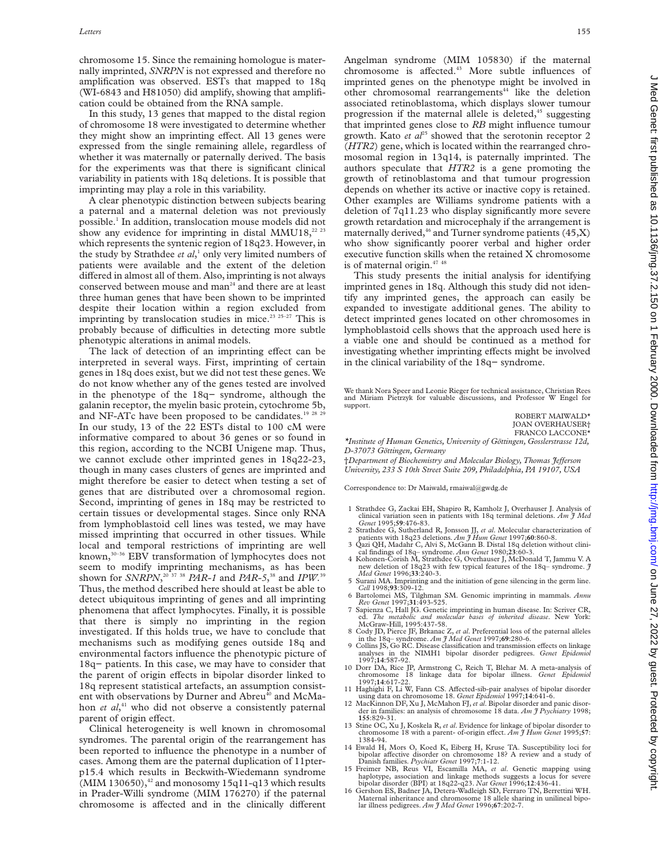chromosome 15. Since the remaining homologue is maternally imprinted, *SNRPN* is not expressed and therefore no amplification was observed. ESTs that mapped to 18q (WI-6843 and H81050) did amplify, showing that amplification could be obtained from the RNA sample.

In this study, 13 genes that mapped to the distal region of chromosome 18 were investigated to determine whether they might show an imprinting effect. All 13 genes were expressed from the single remaining allele, regardless of whether it was maternally or paternally derived. The basis for the experiments was that there is significant clinical variability in patients with 18q deletions. It is possible that imprinting may play a role in this variability.

A clear phenotypic distinction between subjects bearing a paternal and a maternal deletion was not previously possible.1 In addition, translocation mouse models did not show any evidence for imprinting in distal MMU18, $^{22}$ <sup>2</sup> which represents the syntenic region of 18q23. However, in the study by Strathdee *et al*, <sup>1</sup> only very limited numbers of patients were available and the extent of the deletion differed in almost all of them. Also, imprinting is not always conserved between mouse and man<sup>24</sup> and there are at least three human genes that have been shown to be imprinted despite their location within a region excluded from imprinting by translocation studies in mice.<sup>23 25-27</sup> This is probably because of difficulties in detecting more subtle phenotypic alterations in animal models.

The lack of detection of an imprinting effect can be. interpreted in several ways. First, imprinting of certain genes in 18q does exist, but we did not test these genes. We do not know whether any of the genes tested are involved in the phenotype of the 18q− syndrome, although the galanin receptor, the myelin basic protein, cytochrome 5b, and NF-ATc have been proposed to be candidates.<sup>19 28</sup> In our study, 13 of the 22 ESTs distal to 100 cM were informative compared to about 36 genes or so found in this region, according to the NCBI Unigene map. Thus, we cannot exclude other imprinted genes in 18q22-23, though in many cases clusters of genes are imprinted and might therefore be easier to detect when testing a set of genes that are distributed over a chromosomal region. Second, imprinting of genes in 18q may be restricted to certain tissues or developmental stages. Since only RNA from lymphoblastoid cell lines was tested, we may have missed imprinting that occurred in other tissues. While local and temporal restrictions of imprinting are well known,30–36 EBV transformation of lymphocytes does not seem to modify imprinting mechanisms, as has been shown for *SNRPN*, 20 37 38 *PAR-1* and *PAR-5*, <sup>38</sup> and *IPW*. 39 Thus, the method described here should at least be able to detect ubiquitous imprinting of genes and all imprinting phenomena that affect lymphocytes. Finally, it is possible that there is simply no imprinting in the region investigated. If this holds true, we have to conclude that mechanisms such as modifying genes outside 18q and environmental factors influence the phenotypic picture of 18q− patients. In this case, we may have to consider that the parent of origin effects in bipolar disorder linked to 18q represent statistical artefacts, an assumption consistent with observations by Durner and Abreu<sup>40</sup> and McMahon *et al*, <sup>41</sup> who did not observe a consistently paternal parent of origin effect.

Clinical heterogeneity is well known in chromosomal syndromes. The parental origin of the rearrangement has been reported to influence the phenotype in a number of cases. Among them are the paternal duplication of 11pterp15.4 which results in Beckwith-Wiedemann syndrome  $(MIM 130650)$ ,<sup>42</sup> and monosomy 15q11-q13 which results in Prader-Willi syndrome (MIM 176270) if the paternal chromosome is affected and in the clinically different

Angelman syndrome (MIM 105830) if the maternal chromosome is affected.<sup>43</sup> More subtle influences of imprinted genes on the phenotype might be involved in other chromosomal rearrangements<sup>44</sup> like the deletion associated retinoblastoma, which displays slower tumour progression if the maternal allele is deleted,<sup>45</sup> suggesting that imprinted genes close to *RB* might influence tumour growth. Kato *et*  $al^{25}$  showed that the serotonin receptor 2 (*HTR2*) gene, which is located within the rearranged chromosomal region in 13q14, is paternally imprinted. The authors speculate that *HTR2* is a gene promoting the growth of retinoblastoma and that tumour progression depends on whether its active or inactive copy is retained. Other examples are Williams syndrome patients with a deletion of 7q11.23 who display significantly more severe growth retardation and microcephaly if the arrangement is maternally derived, $46$  and Turner syndrome patients (45,X) who show significantly poorer verbal and higher order executive function skills when the retained X chromosome is of maternal origin.<sup>47 48</sup>

This study presents the initial analysis for identifying imprinted genes in 18q. Although this study did not identify any imprinted genes, the approach can easily be expanded to investigate additional genes. The ability to detect imprinted genes located on other chromosomes in lymphoblastoid cells shows that the approach used here is a viable one and should be continued as a method for investigating whether imprinting effects might be involved in the clinical variability of the 18q− syndrome.

We thank Nora Speer and Leonie Rieger for technical assistance, Christian Rees and Miriam Pietrzyk for valuable discussions, and Professor W Engel for support.

> ROBERT MAIWALD\* JOAN OVERHAUSER† FRANCO LACCONE\*

*\*Institute of Human Genetics, University of Göttingen, Gosslerstrasse 12d, D-37073 Göttingen, Germany*

†*Department of Biochemistry and Molecular Biology, Thomas JeVerson University, 233 S 10th Street Suite 209, Philadelphia, PA 19107, USA*

Correspondence to: Dr Maiwald, rmaiwal@gwdg.de

- 1 Strathdee G, Zackai EH, Shapiro R, Kamholz J, Overhauser J. Analysis of clinical variation seen in patients with 18q terminal deletions. *Am J Med*
- *Genet* 1995;**59**:476-83. 2 Strathdee G, Sutherland R, Jonsson JJ, *et al*. Molecular characterization of
- patients with 18q23 deletions. Am J Hum Genet 1997;60:860-8.<br>3 Qazi QH, Madahr C, Alvi S, McGann B. Distal 18q deletion without clini-<br>cal findings of 18q- syndrome. Ann Genet 1980;23:60-3.<br>4 Kohonen-Corish M, Strathdee G,
- new deletion of 18q23 with few typical features of the 18q– syndrome. *J Med Genet* 1996;**33**:240-3. 5 Surani MA. Imprinting and the initiation of gene silencing in the germ line.
- *Cell* 1998;**93**:309-12.
- 6 Bartolomei MS, Tilghman SM. Genomic imprinting in mammals. *Annu Rev Genet* 1997;**31**:493-525.
- 7 Sapienza C, Hall JG. Genetic imprinting in human disease. In: Scriver CR, ed. *The metabolic and molecular bases of inherited disease*. New York: McGraw-Hill, 1995:437-58.
- 8 Cody JD, Pierce JF, Brkanac Z, *et al*. Preferential loss of the paternal alleles in the 18q– syndrome. *Am J Med Genet* 1997;**69**:280-6.
- 9 Collins JS, Go RC. Disease classification and transmission effects on linkage analyses in the NIMH1 bipolar disorder pedigrees. *Genet Epidemiol* 1997;**14**:587-92.
- 10 Dorr DA, Rice JP, Armstrong C, Reich T, Blehar M. A meta-analysis of chromosome 18 linkage data for bipolar illness. *Genet Epidemiol*
- 1997;**14**:617-22. 11 Haghighi F, Li W, Fann CS. AVected-sib-pair analyses of bipolar disorder using data on chromosome 18. *Genet Epidemiol* 1997;**14**:641-6.
- 12 MacKinnon DF, Xu J, McMahon FJ,*et al*. Bipolar disorder and panic disorder in families: an analysis of chromosome 18 data. *Am J Psychiatry* 1998; **155**:829-31.
- 13 Stine OC, Xu J, Koskela R, *et al*. Evidence for linkage of bipolar disorder to chromosome 18 with a parent- of-origin effect. *Am J Hum Genet* 1995;57: 1384-94.
- 14 Ewald H, Mors O, Koed K, Eiberg H, Kruse TA. Susceptibility loci for bipolar affective disorder on chromosome 18? A review and a study of Danish families. *Psychiatr Genet* 1997;**7**:1-12.
- 15 Freimer NB, Reus VI, Escamilla MA, *et al*. Genetic mapping using haplotype, association and linkage methods suggests a locus for severe bipolar disorder (BPI) at 18q22-q23. *Nat Genet* 1996;**12**:436-41.
- 16 Gershon ES, Badner JA, Detera-Wadleigh SD, Ferraro TN, Berrettini WH. Maternal inheritance and chromosome 18 allele sharing in unilineal bipolar illness pedigrees. *Am J Med Genet* 1996;**67**:202-7.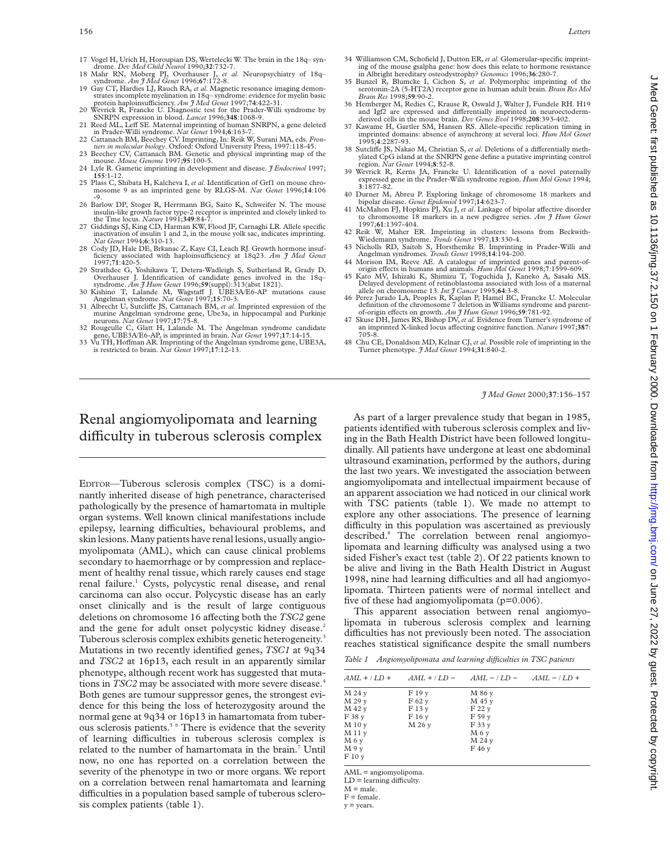17 Vogel H, Urich H, Horoupian DS, Wertelecki W. The brain in the 18q– syndrome. *Dev Med Child Neurol* 1990;**32**:732-7.

18 Mahr RN, Moberg PJ, Overhauser J, *et al*. Neuropsychiatry of 18q– syndrome. *Am J Med Genet* 1996;**67**:172-8.

- 19 Gay CT, Hardies LJ, Rauch RA, *et al*. Magnetic resonance imaging demonstrates incomplete myelination in 18q– syndrome: evidence for myelin basic<br>protein haploinsufficiency. *Am J Med Genet* 1997;74:422-31.<br>Wevrick R, Francke U. Diagnostic test for the Prader-Willi syndrome by
- SNRPN expression in blood. *Lancet* 1996;348:1068-9.<br>21 Reed ML, Leff SE. Maternal imprinting of human SNRPN, a gene deleted
- 
- in Prader-Willi syndrome. *Nat Genet* 1994;6:163-7.<br>22 Cattanach BM, Becchey CV. Imprinting, In: Reik W, Surani MA, eds. *Fron-*<br>*tiers in molecular biology.* Oxford: Oxford University Press, 1997:118-45.<br>23 Beechey CV, Ca
- mouse. *Mouse Genome* 1997;**95**:100-5. 24 Lyle R. Gametic imprinting in development and disease. *J Endocrinol* 1997;
- **155**:1-12. 25 Plass C, Shibata H, Kalcheva I, *et al*. Identification of Grf1 on mouse chromosome 9 as an imprinted gene by RLGS-M. *Nat Genet* 1996;**14**:106
- -9. 26 Barlow DP, Stoger R, Herrmann BG, Saito K, Schweifer N. The mouse insulin-like growth factor type-2 receptor is imprinted and closely linked to the Tme locus. *Nature* 1991;**349**:84-7.
- 27 Giddings SJ, King CD, Harman KW, Flood JF, Carnaghi LR. Allele specific inactivation of insulin 1 and 2, in the mouse yolk sac, indicates imprinting. *Nat Genet* 1994;**6**:310-13.
- 28 Cody JD, Hale DE, Brkanac Z, Kaye CI, Leach RJ. Growth hormone insuf-<br>ficiency associated with haploinsufficiency at 18q23. *Am J Med Genet*
- 1997;71:420-5.<br>29 Strathdee G, Yoshikawa T, Detera-Wadleigh S, Sutherland R, Grady D, Overhauser J. Identification of candidate genes involved in the 18q-syndrome. Am *J Hum Genet* 1996;59(suppl):313(abst 1821).<br>30 Kishin
- 
- 31 Albrecht U, Sutcliffe JS, Cattanach BM, et al. Imprinted expression of the murine Angelman syndrome gene, Ube3a, in hippocampal and Purkinje neurons. *Nat Genet* 1997;**17**:75-8.
- 32 Rougeulle C, Glatt H, Lalande M. The Angelman syndrome candidate gene, UBE3A/E6-AP, is imprinted in brain. *Nat Genet* 1997;**17**:14-15.
- 33 Vu TH, Hoffman AR. Imprinting of the Angelman syndrome gene, UBE3A, is restricted to brain. *Nat Genet* 1997;17:12-13.
- Renal angiomyolipomata and learning difficulty in tuberous sclerosis complex

EDITOR—Tuberous sclerosis complex (TSC) is a dominantly inherited disease of high penetrance, characterised pathologically by the presence of hamartomata in multiple organ systems. Well known clinical manifestations include epilepsy, learning difficulties, behavioural problems, and skin lesions. Many patients have renal lesions, usually angiomyolipomata (AML), which can cause clinical problems secondary to haemorrhage or by compression and replacement of healthy renal tissue, which rarely causes end stage renal failure.<sup>1</sup> Cysts, polycystic renal disease, and renal carcinoma can also occur. Polycystic disease has an early onset clinically and is the result of large contiguous deletions on chromosome 16 affecting both the *TSC2* gene and the gene for adult onset polycystic kidney disease.<sup>2</sup> Tuberous sclerosis complex exhibits genetic heterogeneity.<sup>3</sup> Mutations in two recently identified genes, *TSC1* at 9q34 and *TSC2* at 16p13, each result in an apparently similar phenotype, although recent work has suggested that mutations in *TSC2* may be associated with more severe disease.<sup>4</sup> Both genes are tumour suppressor genes, the strongest evidence for this being the loss of heterozygosity around the normal gene at 9q34 or 16p13 in hamartomata from tuberous sclerosis patients.<sup>5 6</sup> There is evidence that the severity of learning difficulties in tuberous sclerosis complex is related to the number of hamartomata in the brain.<sup>7</sup> Until now, no one has reported on a correlation between the severity of the phenotype in two or more organs. We report on a correlation between renal hamartomata and learning difficulties in a population based sample of tuberous sclerosis complex patients (table 1).

- 34 Williamson CM, Schofield J, Dutton ER,*et al*. Glomerular-specific imprintin minimized energy extensive graphs and the mouse graphs are chosen to the mouse graphs are chosen to hormone resistance in Albright hereditary osteodystrophy? *Genomics* 1996;**36**:280-7.
- 35 Bunzel R, Blumcke I, Cichon S, *et al*. Polymorphic imprinting of the serotonin-2A (5-HT2A) receptor gene in human adult brain.*Brain Res Mol Brain Res* 1998;**59**:90-2.
- 36 Hemberger M, Redies C, Krause R, Oswald J, Walter J, Fundele RH. H19 and Igf2 are expressed and differentially imprinted in neuroectoderm-<br>derived cells in the mouse brain. *Dev Genes Evol* 1998;208:393-402.
- 37 Kawame H, Gartler SM, Hansen RS. Allele-specific replication timing in imprinted domains: absence of asynchrony at several loci. *Hum Mol Genet* 1995;**4**:2287-93.
- 38 Sutcliffe JS, Nakao M, Christian S, et al. Deletions of a differentially methylated CpG island at the SNRPN gene define a putative imprinting control region. *Nat Genet* 1994;**8**:52-8.
- 39 Wevrick R, Kerns JA, Francke U. Identification of a novel paternally expressed gene in the Prader-Willi syndrome region. *Hum Mol Genet* 1994; **3**:1877-82.
- 40 Durner M, Abreu P. Exploring linkage of chromosome 18 markers and<br>bipolar disease. *Genet Epidemiol* 1997;14:623-7.<br>41 McMahon FJ, Hopkins PJ, Xu J, *et al.* Linkage of bipolar affective disorder<br>to chromosome 18 marker
- 1997;**61**:1397-404.
- 42 Reik W, Maher ER. Imprinting in clusters: lessons from Beckwith-Wiedemann syndrome. *Trends Genet* 1997;**13**:330-4.
- 43 Nicholls RD, Saitoh S, Horsthemke B. Imprinting in Prader-Willi and Angelman syndromes. *Trends Genet* 1998;**14**:194-200.
- 44 Morison IM, Reeve AE. A catalogue of imprinted genes and parent-of-<br>origin effects in humans and animals. *Hum Mol Genet* 1998;7:1599-609.
- 45 Kato MV, Ishizaki K, Shimizu T, Toguchida J, Kaneko A, Sasaki MS. Delayed development of retinoblastoma associated with loss of a maternal
- allele on chromosome 13. *Int J Cancer* 1995;**64**:3-8. 46 Perez Jurado LA, Peoples R, Kaplan P, Hamel BC, Francke U. Molecular definition of the chromosome 7 deletion in Williams syndrome and parent-<br>of-origin effects on growth. Am J Hum Genet 1996;59:781-92.<br>Thuse DH, James RS, Bishop DV, et al. Evidence from Turner's syndrome of
- an imprinted X-linked locus affecting cognitive function. *Nature* 1997;387: 705-8.
- 48 Chu CE, Donaldson MD, Kelnar CJ, *et al*. Possible role of imprinting in the Turner phenotype. *J Med Genet* 1994;**31**:840-2.

#### *J Med Genet* 2000;**37**:156–157

J Med Genet: first published as 10.11136/jmg.37.2.150 on 1 February 2000. Downloaded from http://jmg.bm/ And February 2000. Downloaded from 1 February 2000. Downloaded from as 10.21.2.130.2. by guest. Protected by copyrigh Med Genet: first published as 10.11136/jmg.37.2.150 on 1 February 2000. Downloaded from http://jmg.bmj.com/ on June 27, 2022 by guest. Protected by copyright

As part of a larger prevalence study that began in 1985, patients identified with tuberous sclerosis complex and living in the Bath Health District have been followed longitudinally. All patients have undergone at least one abdominal ultrasound examination, performed by the authors, during the last two years. We investigated the association between angiomyolipomata and intellectual impairment because of an apparent association we had noticed in our clinical work with TSC patients (table 1). We made no attempt to explore any other associations. The presence of learning difficulty in this population was ascertained as previously described.8 The correlation between renal angiomyolipomata and learning difficulty was analysed using a two sided Fisher's exact test (table 2). Of 22 patients known to be alive and living in the Bath Health District in August 1998, nine had learning difficulties and all had angiomyolipomata. Thirteen patients were of normal intellect and five of these had angiomyolipomata  $(p=0.006)$ .

This apparent association between renal angiomyolipomata in tuberous sclerosis complex and learning difficulties has not previously been noted. The association reaches statistical significance despite the small numbers

| Table 1 | Angiomyolipomata and learning difficulties in TSC patients |  |
|---------|------------------------------------------------------------|--|
|         |                                                            |  |

| $AML + /LD +$ |        | $AML + / LD - AML - / LD -$ | $AML - /LD +$ |
|---------------|--------|-----------------------------|---------------|
| M 24 v        | F19v   | M 86 y                      |               |
| M 29 v        | F 62 y | M 45 y                      |               |
| M 42 v        | F13v   | F 22 y                      |               |
| F 38 y        | F 16 y | F 59 y                      |               |
| M 10 y        | M 26 y | F 33 y                      |               |
| M 11 v        |        | M <sub>6y</sub>             |               |
| М6у           |        | M 24 y                      |               |
| M 9 v         |        | F 46 y                      |               |
| F10y          |        |                             |               |

AML = angiomyolipoma.

 $LD = learning$  difficulty.

 $M = male$ .

 $F =$  female  $y = years$ .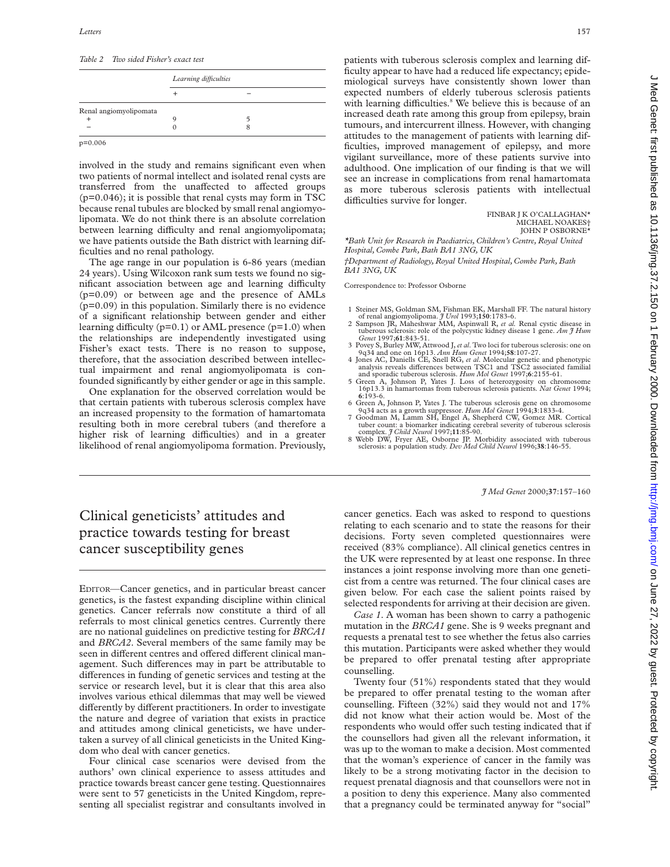#### *Table 2 Two sided Fisher's exact test*

|                        | Learning difficulties |   |  |
|------------------------|-----------------------|---|--|
|                        |                       |   |  |
| Renal angiomyolipomata |                       |   |  |
| ۰                      | q                     |   |  |
|                        |                       | 8 |  |
| $n=0.006$              |                       |   |  |

involved in the study and remains significant even when two patients of normal intellect and isolated renal cysts are transferred from the unaffected to affected groups  $(p=0.046)$ ; it is possible that renal cysts may form in TSC because renal tubules are blocked by small renal angiomyolipomata. We do not think there is an absolute correlation between learning difficulty and renal angiomyolipomata; we have patients outside the Bath district with learning difficulties and no renal pathology.

The age range in our population is 6-86 years (median 24 years). Using Wilcoxon rank sum tests we found no significant association between age and learning difficulty (p=0.09) or between age and the presence of AMLs (p=0.09) in this population. Similarly there is no evidence of a significant relationship between gender and either learning difficulty ( $p=0.1$ ) or AML presence ( $p=1.0$ ) when the relationships are independently investigated using Fisher's exact tests. There is no reason to suppose, therefore, that the association described between intellectual impairment and renal angiomyolipomata is confounded significantly by either gender or age in this sample.

One explanation for the observed correlation would be that certain patients with tuberous sclerosis complex have an increased propensity to the formation of hamartomata resulting both in more cerebral tubers (and therefore a higher risk of learning difficulties) and in a greater likelihood of renal angiomyolipoma formation. Previously,

# Clinical geneticists' attitudes and practice towards testing for breast cancer susceptibility genes

EDITOR—Cancer genetics, and in particular breast cancer genetics, is the fastest expanding discipline within clinical genetics. Cancer referrals now constitute a third of all referrals to most clinical genetics centres. Currently there are no national guidelines on predictive testing for *BRCA1* and *BRCA2*. Several members of the same family may be seen in different centres and offered different clinical management. Such differences may in part be attributable to differences in funding of genetic services and testing at the service or research level, but it is clear that this area also involves various ethical dilemmas that may well be viewed differently by different practitioners. In order to investigate the nature and degree of variation that exists in practice and attitudes among clinical geneticists, we have undertaken a survey of all clinical geneticists in the United Kingdom who deal with cancer genetics.

Four clinical case scenarios were devised from the authors' own clinical experience to assess attitudes and practice towards breast cancer gene testing. Questionnaires were sent to 57 geneticists in the United Kingdom, representing all specialist registrar and consultants involved in

patients with tuberous sclerosis complex and learning difficulty appear to have had a reduced life expectancy; epidemiological surveys have consistently shown lower than expected numbers of elderly tuberous sclerosis patients with learning difficulties.<sup>8</sup> We believe this is because of an increased death rate among this group from epilepsy, brain tumours, and intercurrent illness. However, with changing attitudes to the management of patients with learning difficulties, improved management of epilepsy, and more vigilant surveillance, more of these patients survive into adulthood. One implication of our finding is that we will see an increase in complications from renal hamartomata as more tuberous sclerosis patients with intellectual difficulties survive for longer.

> FINBAR J K O'CALLAGHAN\* MICHAEL NOAKES† JOHN P OSBORNE\*

*\*Bath Unit for Research in Paediatrics, Children's Centre, Royal United Hospital, Combe Park, Bath BA1 3NG, UK*

*†Department of Radiology, Royal United Hospital, Combe Park, Bath BA1 3NG, UK*

Correspondence to: Professor Osborne

- 1 Steiner MS, Goldman SM, Fishman EK, Marshall FF. The natural history of renal angiomyolipoma. *J Urol* 1993;**150**:1783-6. 2 Sampson JR, Maheshwar MM, Aspinwall R, *et al.* Renal cystic disease in
- tuberous sclerosis: role of the polycystic kidney disease 1 gene. *Am J Hum Genet* 1997;**61**:843-51.
- 3 Povey S, Burley MW, Attwood J, et al. Two loci for tuberous sclerosis: one on 9q34 and one on 16p13. Am Hum Genet 1994;58:107-27.<br>4 Jones AC, Daniells CE, Snell RG, et al. Molecular genetic and phenotypic<br>analysis reveal
- 
- and sporadic tuberous sclerosis. *Hum Mol Genet* 1997;**6**:2155-61.<br>5 Green A, Johnson P, Yates J. Loss of heterozygosity on chromosome<br>16p13.3 in hamartomas from tuberous sclerosis patients. *Nat Genet* 1994; **6**:193-6.
- 
- 6 Green A, Johnson P, Yates J. The tuberous sclerosis gene on chromosome<br>9034 acts as a growth suppressor. Hum Mol Genet 1994;3:1833-4.<br>7 Goodman M, Lamm SH, Engel A, Shepherd CW, Gomez MR. Cortical<br>tuber count: a biomarke
- sclerosis: a population study. *Dev Med Child Neurol* 1996;**38**:146-55.

*J Med Genet* 2000;**37**:157–160

cancer genetics. Each was asked to respond to questions relating to each scenario and to state the reasons for their decisions. Forty seven completed questionnaires were received (83% compliance). All clinical genetics centres in the UK were represented by at least one response. In three instances a joint response involving more than one geneticist from a centre was returned. The four clinical cases are given below. For each case the salient points raised by selected respondents for arriving at their decision are given.

*Case 1*. A woman has been shown to carry a pathogenic mutation in the *BRCA1* gene. She is 9 weeks pregnant and requests a prenatal test to see whether the fetus also carries this mutation. Participants were asked whether they would be prepared to offer prenatal testing after appropriate counselling.

Twenty four (51%) respondents stated that they would be prepared to offer prenatal testing to the woman after counselling. Fifteen (32%) said they would not and 17% did not know what their action would be. Most of the respondents who would offer such testing indicated that if the counsellors had given all the relevant information, it was up to the woman to make a decision. Most commented that the woman's experience of cancer in the family was likely to be a strong motivating factor in the decision to request prenatal diagnosis and that counsellors were not in a position to deny this experience. Many also commented that a pregnancy could be terminated anyway for "social"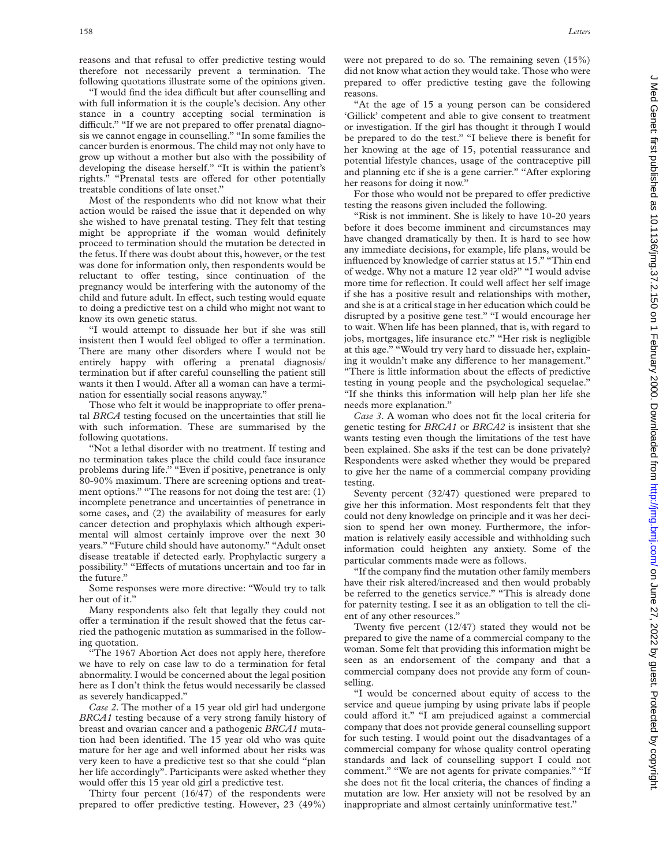reasons and that refusal to offer predictive testing would therefore not necessarily prevent a termination. The following quotations illustrate some of the opinions given.

"I would find the idea difficult but after counselling and with full information it is the couple's decision. Any other stance in a country accepting social termination is difficult." "If we are not prepared to offer prenatal diagnosis we cannot engage in counselling." "In some families the cancer burden is enormous. The child may not only have to grow up without a mother but also with the possibility of developing the disease herself." "It is within the patient's rights." "Prenatal tests are offered for other potentially treatable conditions of late onset."

Most of the respondents who did not know what their action would be raised the issue that it depended on why she wished to have prenatal testing. They felt that testing might be appropriate if the woman would definitely proceed to termination should the mutation be detected in the fetus. If there was doubt about this, however, or the test was done for information only, then respondents would be reluctant to offer testing, since continuation of the pregnancy would be interfering with the autonomy of the child and future adult. In effect, such testing would equate to doing a predictive test on a child who might not want to know its own genetic status.

"I would attempt to dissuade her but if she was still insistent then I would feel obliged to offer a termination. There are many other disorders where I would not be entirely happy with offering a prenatal diagnosis/ termination but if after careful counselling the patient still wants it then I would. After all a woman can have a termination for essentially social reasons anyway."

Those who felt it would be inappropriate to offer prenatal *BRCA* testing focused on the uncertainties that still lie with such information. These are summarised by the following quotations.

"Not a lethal disorder with no treatment. If testing and no termination takes place the child could face insurance problems during life." "Even if positive, penetrance is only 80-90% maximum. There are screening options and treatment options." "The reasons for not doing the test are: (1) incomplete penetrance and uncertainties of penetrance in some cases, and (2) the availability of measures for early cancer detection and prophylaxis which although experimental will almost certainly improve over the next 30 years." "Future child should have autonomy." "Adult onset disease treatable if detected early. Prophylactic surgery a possibility." "Effects of mutations uncertain and too far in the future."

Some responses were more directive: "Would try to talk her out of it."

Many respondents also felt that legally they could not offer a termination if the result showed that the fetus carried the pathogenic mutation as summarised in the following quotation.

"The 1967 Abortion Act does not apply here, therefore we have to rely on case law to do a termination for fetal abnormality. I would be concerned about the legal position here as I don't think the fetus would necessarily be classed as severely handicapped."

*Case 2*. The mother of a 15 year old girl had undergone *BRCA1* testing because of a very strong family history of breast and ovarian cancer and a pathogenic *BRCA1* mutation had been identified. The 15 year old who was quite mature for her age and well informed about her risks was very keen to have a predictive test so that she could "plan her life accordingly". Participants were asked whether they would offer this 15 year old girl a predictive test.

Thirty four percent (16/47) of the respondents were prepared to offer predictive testing. However,  $23$  (49%)

were not prepared to do so. The remaining seven (15%) did not know what action they would take. Those who were prepared to offer predictive testing gave the following reasons.

"At the age of 15 a young person can be considered 'Gillick' competent and able to give consent to treatment or investigation. If the girl has thought it through I would be prepared to do the test." "I believe there is benefit for her knowing at the age of 15, potential reassurance and potential lifestyle chances, usage of the contraceptive pill and planning etc if she is a gene carrier." "After exploring her reasons for doing it now."

For those who would not be prepared to offer predictive testing the reasons given included the following.

"Risk is not imminent. She is likely to have 10-20 years before it does become imminent and circumstances may have changed dramatically by then. It is hard to see how any immediate decisions, for example, life plans, would be influenced by knowledge of carrier status at 15." "Thin end of wedge. Why not a mature 12 year old?" "I would advise more time for reflection. It could well affect her self image if she has a positive result and relationships with mother, and she is at a critical stage in her education which could be disrupted by a positive gene test." "I would encourage her to wait. When life has been planned, that is, with regard to jobs, mortgages, life insurance etc." "Her risk is negligible at this age." "Would try very hard to dissuade her, explaining it wouldn't make any difference to her management." "There is little information about the effects of predictive testing in young people and the psychological sequelae." "If she thinks this information will help plan her life she needs more explanation."

*Case 3*. A woman who does not fit the local criteria for genetic testing for *BRCA1* or *BRCA2* is insistent that she wants testing even though the limitations of the test have been explained. She asks if the test can be done privately? Respondents were asked whether they would be prepared to give her the name of a commercial company providing testing.

Seventy percent (32/47) questioned were prepared to give her this information. Most respondents felt that they could not deny knowledge on principle and it was her decision to spend her own money. Furthermore, the information is relatively easily accessible and withholding such information could heighten any anxiety. Some of the particular comments made were as follows.

"If the company find the mutation other family members have their risk altered/increased and then would probably be referred to the genetics service." "This is already done for paternity testing. I see it as an obligation to tell the client of any other resources."

Twenty five percent (12/47) stated they would not be prepared to give the name of a commercial company to the woman. Some felt that providing this information might be seen as an endorsement of the company and that a commercial company does not provide any form of counselling.

"I would be concerned about equity of access to the service and queue jumping by using private labs if people could afford it." "I am prejudiced against a commercial company that does not provide general counselling support for such testing. I would point out the disadvantages of a commercial company for whose quality control operating standards and lack of counselling support I could not comment." "We are not agents for private companies." "If she does not fit the local criteria, the chances of finding a mutation are low. Her anxiety will not be resolved by an inappropriate and almost certainly uninformative test."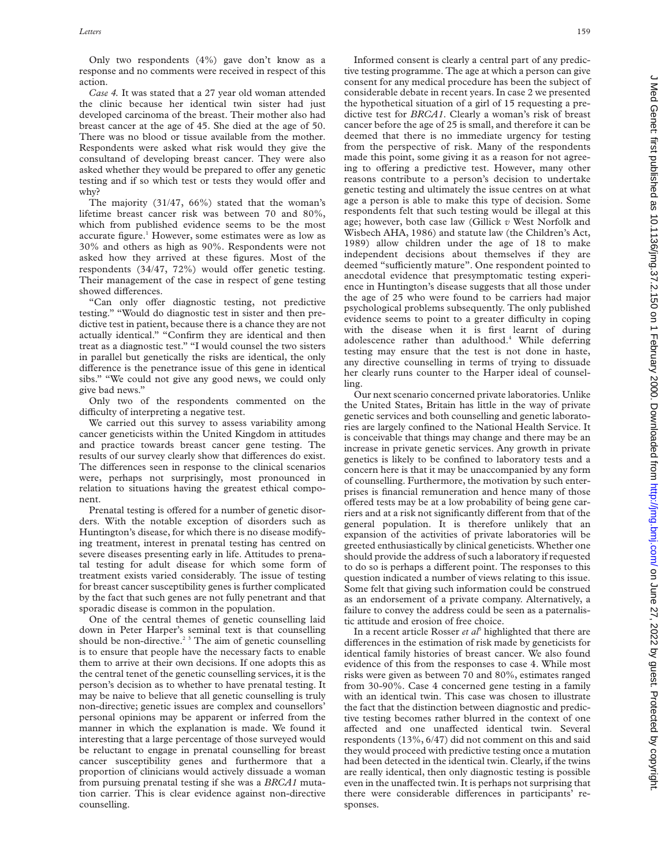Only two respondents (4%) gave don't know as a response and no comments were received in respect of this action.

*Case 4.* It was stated that a 27 year old woman attended the clinic because her identical twin sister had just developed carcinoma of the breast. Their mother also had breast cancer at the age of 45. She died at the age of 50. There was no blood or tissue available from the mother. Respondents were asked what risk would they give the consultand of developing breast cancer. They were also asked whether they would be prepared to offer any genetic testing and if so which test or tests they would offer and why?

The majority (31/47, 66%) stated that the woman's lifetime breast cancer risk was between 70 and 80%, which from published evidence seems to be the most accurate figure.<sup>1</sup> However, some estimates were as low as 30% and others as high as 90%. Respondents were not asked how they arrived at these figures. Most of the respondents  $(34/47, 72%)$  would offer genetic testing. Their management of the case in respect of gene testing showed differences.

"Can only offer diagnostic testing, not predictive testing." "Would do diagnostic test in sister and then predictive test in patient, because there is a chance they are not actually identical." "Confirm they are identical and then treat as a diagnostic test." "I would counsel the two sisters in parallel but genetically the risks are identical, the only difference is the penetrance issue of this gene in identical sibs." "We could not give any good news, we could only give bad news."

Only two of the respondents commented on the difficulty of interpreting a negative test.

We carried out this survey to assess variability among cancer geneticists within the United Kingdom in attitudes and practice towards breast cancer gene testing. The results of our survey clearly show that differences do exist. The differences seen in response to the clinical scenarios were, perhaps not surprisingly, most pronounced in relation to situations having the greatest ethical component.

Prenatal testing is offered for a number of genetic disorders. With the notable exception of disorders such as Huntington's disease, for which there is no disease modifying treatment, interest in prenatal testing has centred on severe diseases presenting early in life. Attitudes to prenatal testing for adult disease for which some form of treatment exists varied considerably. The issue of testing for breast cancer susceptibility genes is further complicated by the fact that such genes are not fully penetrant and that sporadic disease is common in the population.

One of the central themes of genetic counselling laid down in Peter Harper's seminal text is that counselling should be non-directive.<sup>2 3</sup> The aim of genetic counselling is to ensure that people have the necessary facts to enable them to arrive at their own decisions. If one adopts this as the central tenet of the genetic counselling services, it is the person's decision as to whether to have prenatal testing. It may be naive to believe that all genetic counselling is truly non-directive; genetic issues are complex and counsellors' personal opinions may be apparent or inferred from the manner in which the explanation is made. We found it interesting that a large percentage of those surveyed would be reluctant to engage in prenatal counselling for breast cancer susceptibility genes and furthermore that a proportion of clinicians would actively dissuade a woman from pursuing prenatal testing if she was a *BRCA1* mutation carrier. This is clear evidence against non-directive counselling.

Informed consent is clearly a central part of any predictive testing programme. The age at which a person can give consent for any medical procedure has been the subject of considerable debate in recent years. In case 2 we presented the hypothetical situation of a girl of 15 requesting a predictive test for *BRCA1*. Clearly a woman's risk of breast cancer before the age of 25 is small, and therefore it can be deemed that there is no immediate urgency for testing from the perspective of risk. Many of the respondents made this point, some giving it as a reason for not agreeing to offering a predictive test. However, many other reasons contribute to a person's decision to undertake genetic testing and ultimately the issue centres on at what age a person is able to make this type of decision. Some respondents felt that such testing would be illegal at this age; however, both case law (Gillick *v* West Norfolk and Wisbech AHA, 1986) and statute law (the Children's Act, 1989) allow children under the age of 18 to make independent decisions about themselves if they are deemed "sufficiently mature". One respondent pointed to anecdotal evidence that presymptomatic testing experience in Huntington's disease suggests that all those under the age of 25 who were found to be carriers had major psychological problems subsequently. The only published evidence seems to point to a greater difficulty in coping with the disease when it is first learnt of during adolescence rather than adulthood.<sup>4</sup> While deferring testing may ensure that the test is not done in haste, any directive counselling in terms of trying to dissuade her clearly runs counter to the Harper ideal of counselling.

Our next scenario concerned private laboratories. Unlike the United States, Britain has little in the way of private genetic services and both counselling and genetic laboratories are largely confined to the National Health Service. It is conceivable that things may change and there may be an increase in private genetic services. Any growth in private genetics is likely to be confined to laboratory tests and a concern here is that it may be unaccompanied by any form of counselling. Furthermore, the motivation by such enterprises is financial remuneration and hence many of those offered tests may be at a low probability of being gene carriers and at a risk not significantly different from that of the general population. It is therefore unlikely that an expansion of the activities of private laboratories will be greeted enthusiastically by clinical geneticists. Whether one should provide the address of such a laboratory if requested to do so is perhaps a different point. The responses to this question indicated a number of views relating to this issue. Some felt that giving such information could be construed as an endorsement of a private company. Alternatively, a failure to convey the address could be seen as a paternalistic attitude and erosion of free choice.

In a recent article Rosser *et al*<sup>5</sup> highlighted that there are differences in the estimation of risk made by geneticists for identical family histories of breast cancer. We also found evidence of this from the responses to case 4. While most risks were given as between 70 and 80%, estimates ranged from 30-90%. Case 4 concerned gene testing in a family with an identical twin. This case was chosen to illustrate the fact that the distinction between diagnostic and predictive testing becomes rather blurred in the context of one affected and one unaffected identical twin. Several respondents (13%, 6/47) did not comment on this and said they would proceed with predictive testing once a mutation had been detected in the identical twin. Clearly, if the twins are really identical, then only diagnostic testing is possible even in the unaffected twin. It is perhaps not surprising that there were considerable differences in participants' responses.